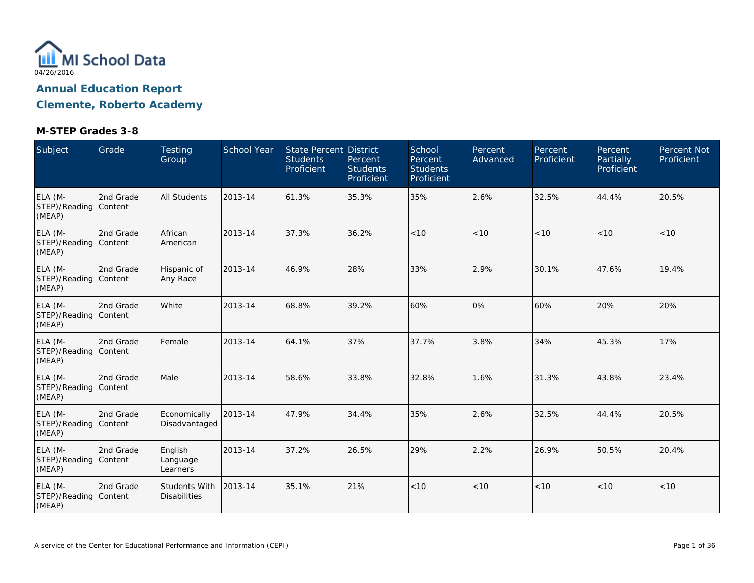

**Clemente, Roberto Academy**

| Subject                                    | Grade     | <b>Testing</b><br>Group              | School Year | <b>State Percent District</b><br><b>Students</b><br>Proficient | Percent<br><b>Students</b><br>Proficient | School<br>Percent<br><b>Students</b><br>Proficient | Percent<br>Advanced | Percent<br>Proficient | Percent<br>Partially<br>Proficient | Percent Not<br>Proficient |
|--------------------------------------------|-----------|--------------------------------------|-------------|----------------------------------------------------------------|------------------------------------------|----------------------------------------------------|---------------------|-----------------------|------------------------------------|---------------------------|
| ELA (M-<br>STEP)/Reading Content<br>(MEAP) | 2nd Grade | <b>All Students</b>                  | 2013-14     | 61.3%                                                          | 35.3%                                    | 35%                                                | 2.6%                | 32.5%                 | 44.4%                              | 20.5%                     |
| ELA (M-<br>STEP)/Reading Content<br>(MEAP) | 2nd Grade | African<br>American                  | 2013-14     | 37.3%                                                          | 36.2%                                    | < 10                                               | < 10                | < 10                  | < 10                               | < 10                      |
| ELA (M-<br>STEP)/Reading Content<br>(MEAP) | 2nd Grade | Hispanic of<br>Any Race              | 2013-14     | 46.9%                                                          | 28%                                      | 33%                                                | 2.9%                | 30.1%                 | 47.6%                              | 19.4%                     |
| ELA (M-<br>STEP)/Reading Content<br>(MEAP) | 2nd Grade | White                                | 2013-14     | 68.8%                                                          | 39.2%                                    | 60%                                                | 0%                  | 60%                   | 20%                                | 20%                       |
| ELA (M-<br>STEP)/Reading Content<br>(MEAP) | 2nd Grade | Female                               | 2013-14     | 64.1%                                                          | 37%                                      | 37.7%                                              | 3.8%                | 34%                   | 45.3%                              | 17%                       |
| ELA (M-<br>STEP)/Reading Content<br>(MEAP) | 2nd Grade | Male                                 | 2013-14     | 58.6%                                                          | 33.8%                                    | 32.8%                                              | 1.6%                | 31.3%                 | 43.8%                              | 23.4%                     |
| ELA (M-<br>STEP)/Reading Content<br>(MEAP) | 2nd Grade | Economically<br>Disadvantaged        | 2013-14     | 47.9%                                                          | 34.4%                                    | 35%                                                | 2.6%                | 32.5%                 | 44.4%                              | 20.5%                     |
| ELA (M-<br>STEP)/Reading Content<br>(MEAP) | 2nd Grade | English<br>Language<br>Learners      | 2013-14     | 37.2%                                                          | 26.5%                                    | 29%                                                | 2.2%                | 26.9%                 | 50.5%                              | 20.4%                     |
| ELA (M-<br>STEP)/Reading Content<br>(MEAP) | 2nd Grade | Students With<br><b>Disabilities</b> | 2013-14     | 35.1%                                                          | 21%                                      | $<10$                                              | < 10                | < 10                  | < 10                               | < 10                      |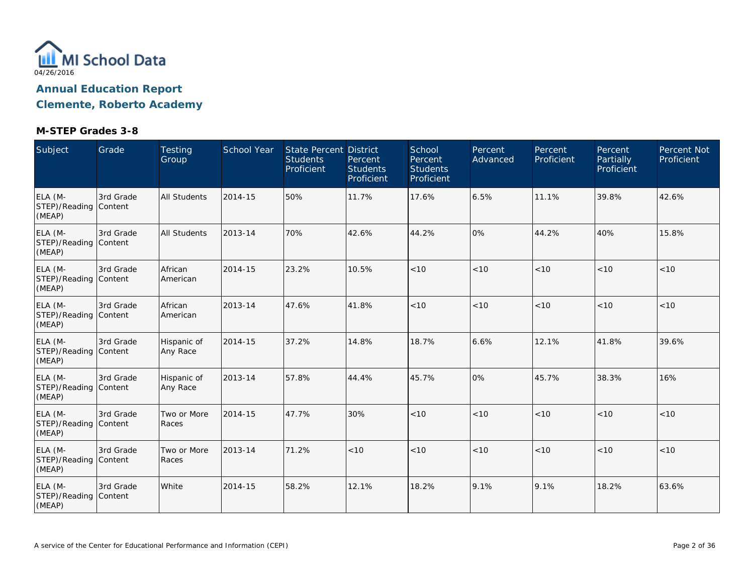

**Clemente, Roberto Academy**

| Subject                                    | Grade     | <b>Testing</b><br>Group | School Year | <b>State Percent District</b><br><b>Students</b><br>Proficient | Percent<br><b>Students</b><br>Proficient | School<br>Percent<br><b>Students</b><br>Proficient | Percent<br>Advanced | Percent<br>Proficient | Percent<br><b>Partially</b><br>Proficient | <b>Percent Not</b><br>Proficient |
|--------------------------------------------|-----------|-------------------------|-------------|----------------------------------------------------------------|------------------------------------------|----------------------------------------------------|---------------------|-----------------------|-------------------------------------------|----------------------------------|
| ELA (M-<br>STEP)/Reading Content<br>(MEAP) | 3rd Grade | All Students            | 2014-15     | 50%                                                            | 11.7%                                    | 17.6%                                              | 6.5%                | 11.1%                 | 39.8%                                     | 42.6%                            |
| ELA (M-<br>STEP)/Reading Content<br>(MEAP) | 3rd Grade | <b>All Students</b>     | 2013-14     | 70%                                                            | 42.6%                                    | 44.2%                                              | 0%                  | 44.2%                 | 40%                                       | 15.8%                            |
| ELA (M-<br>STEP)/Reading Content<br>(MEAP) | 3rd Grade | African<br>American     | 2014-15     | 23.2%                                                          | 10.5%                                    | < 10                                               | < 10                | < 10                  | < 10                                      | < 10                             |
| ELA (M-<br>STEP)/Reading Content<br>(MEAP) | 3rd Grade | African<br>American     | 2013-14     | 47.6%                                                          | 41.8%                                    | < 10                                               | < 10                | < 10                  | < 10                                      | < 10                             |
| ELA (M-<br>STEP)/Reading Content<br>(MEAP) | 3rd Grade | Hispanic of<br>Any Race | 2014-15     | 37.2%                                                          | 14.8%                                    | 18.7%                                              | 6.6%                | 12.1%                 | 41.8%                                     | 39.6%                            |
| ELA (M-<br>STEP)/Reading Content<br>(MEAP) | 3rd Grade | Hispanic of<br>Any Race | 2013-14     | 57.8%                                                          | 44.4%                                    | 45.7%                                              | 0%                  | 45.7%                 | 38.3%                                     | 16%                              |
| ELA (M-<br>STEP)/Reading Content<br>(MEAP) | 3rd Grade | Two or More<br>Races    | 2014-15     | 47.7%                                                          | 30%                                      | $<10$                                              | $<10$               | < 10                  | < 10                                      | $<10$                            |
| ELA (M-<br>STEP)/Reading Content<br>(MEAP) | 3rd Grade | Two or More<br>Races    | 2013-14     | 71.2%                                                          | < 10                                     | < 10                                               | < 10                | < 10                  | < 10                                      | < 10                             |
| ELA (M-<br>STEP)/Reading Content<br>(MEAP) | 3rd Grade | White                   | 2014-15     | 58.2%                                                          | 12.1%                                    | 18.2%                                              | 9.1%                | 9.1%                  | 18.2%                                     | 63.6%                            |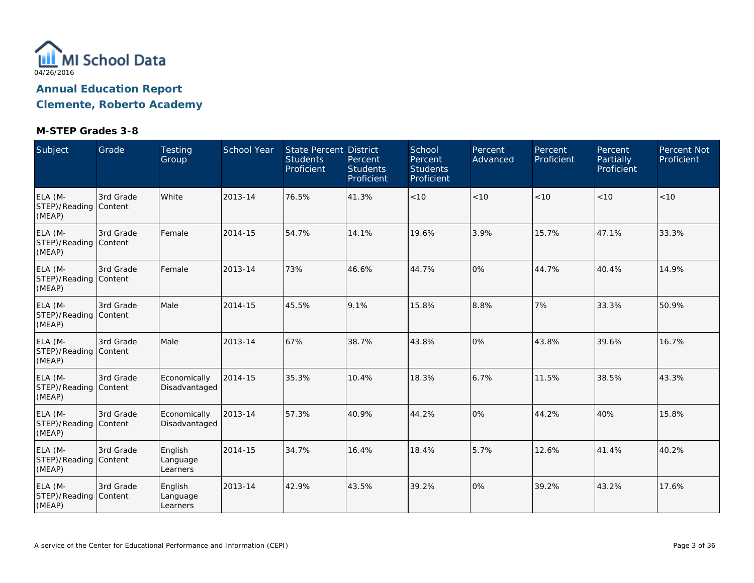

**Clemente, Roberto Academy**

| Subject                                    | Grade     | <b>Testing</b><br>Group         | <b>School Year</b> | <b>State Percent District</b><br><b>Students</b><br>Proficient | Percent<br><b>Students</b><br>Proficient | School<br>Percent<br><b>Students</b><br>Proficient | Percent<br>Advanced | Percent<br>Proficient | Percent<br>Partially<br>Proficient | Percent Not<br>Proficient |
|--------------------------------------------|-----------|---------------------------------|--------------------|----------------------------------------------------------------|------------------------------------------|----------------------------------------------------|---------------------|-----------------------|------------------------------------|---------------------------|
| ELA (M-<br>STEP)/Reading Content<br>(MEAP) | 3rd Grade | White                           | 2013-14            | 76.5%                                                          | 41.3%                                    | < 10                                               | < 10                | < 10                  | < 10                               | <10                       |
| ELA (M-<br>STEP)/Reading Content<br>(MEAP) | 3rd Grade | Female                          | 2014-15            | 54.7%                                                          | 14.1%                                    | 19.6%                                              | 3.9%                | 15.7%                 | 47.1%                              | 33.3%                     |
| ELA (M-<br>STEP)/Reading Content<br>(MEAP) | 3rd Grade | Female                          | 2013-14            | 73%                                                            | 46.6%                                    | 44.7%                                              | 0%                  | 44.7%                 | 40.4%                              | 14.9%                     |
| ELA (M-<br>STEP)/Reading Content<br>(MEAP) | 3rd Grade | Male                            | 2014-15            | 45.5%                                                          | 9.1%                                     | 15.8%                                              | 8.8%                | 7%                    | 33.3%                              | 50.9%                     |
| ELA (M-<br>STEP)/Reading Content<br>(MEAP) | 3rd Grade | Male                            | 2013-14            | 67%                                                            | 38.7%                                    | 43.8%                                              | 0%                  | 43.8%                 | 39.6%                              | 16.7%                     |
| ELA (M-<br>STEP)/Reading Content<br>(MEAP) | 3rd Grade | Economically<br>Disadvantaged   | 2014-15            | 35.3%                                                          | 10.4%                                    | 18.3%                                              | 6.7%                | 11.5%                 | 38.5%                              | 43.3%                     |
| ELA (M-<br>STEP)/Reading Content<br>(MEAP) | 3rd Grade | Economically<br>Disadvantaged   | 2013-14            | 57.3%                                                          | 40.9%                                    | 44.2%                                              | 0%                  | 44.2%                 | 40%                                | 15.8%                     |
| ELA (M-<br>STEP)/Reading Content<br>(MEAP) | 3rd Grade | English<br>Language<br>Learners | 2014-15            | 34.7%                                                          | 16.4%                                    | 18.4%                                              | 5.7%                | 12.6%                 | 41.4%                              | 40.2%                     |
| ELA (M-<br>STEP)/Reading Content<br>(MEAP) | 3rd Grade | English<br>Language<br>Learners | 2013-14            | 42.9%                                                          | 43.5%                                    | 39.2%                                              | 0%                  | 39.2%                 | 43.2%                              | 17.6%                     |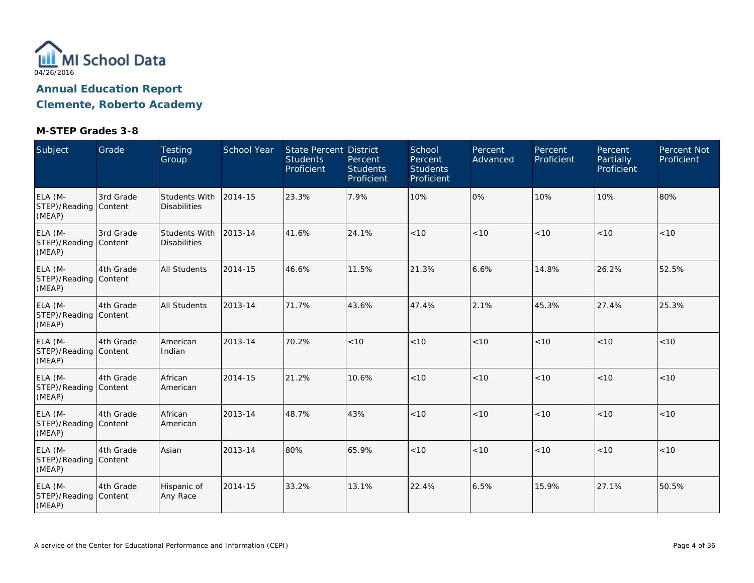

**Clemente, Roberto Academy**

| Subject                                    | Grade     | <b>Testing</b><br>Group              | <b>School Year</b> | <b>State Percent District</b><br><b>Students</b><br>Proficient | Percent<br><b>Students</b><br>Proficient | School<br>Percent<br><b>Students</b><br>Proficient | Percent<br>Advanced | Percent<br>Proficient | Percent<br><b>Partially</b><br>Proficient | <b>Percent Not</b><br>Proficient |
|--------------------------------------------|-----------|--------------------------------------|--------------------|----------------------------------------------------------------|------------------------------------------|----------------------------------------------------|---------------------|-----------------------|-------------------------------------------|----------------------------------|
| ELA (M-<br>STEP)/Reading Content<br>(MEAP) | 3rd Grade | Students With<br><b>Disabilities</b> | 2014-15            | 23.3%                                                          | 7.9%                                     | 10%                                                | 0%                  | 10%                   | 10%                                       | 80%                              |
| ELA (M-<br>STEP)/Reading Content<br>(MEAP) | 3rd Grade | Students With<br><b>Disabilities</b> | 2013-14            | 41.6%                                                          | 24.1%                                    | < 10                                               | < 10                | < 10                  | < 10                                      | < 10                             |
| ELA (M-<br>STEP)/Reading Content<br>(MEAP) | 4th Grade | <b>All Students</b>                  | 2014-15            | 46.6%                                                          | 11.5%                                    | 21.3%                                              | 6.6%                | 14.8%                 | 26.2%                                     | 52.5%                            |
| ELA (M-<br>STEP)/Reading Content<br>(MEAP) | 4th Grade | <b>All Students</b>                  | 2013-14            | 71.7%                                                          | 43.6%                                    | 47.4%                                              | 2.1%                | 45.3%                 | 27.4%                                     | 25.3%                            |
| ELA (M-<br>STEP)/Reading Content<br>(MEAP) | 4th Grade | American<br>Indian                   | 2013-14            | 70.2%                                                          | < 10                                     | < 10                                               | < 10                | < 10                  | < 10                                      | < 10                             |
| ELA (M-<br>STEP)/Reading Content<br>(MEAP) | 4th Grade | African<br>American                  | 2014-15            | 21.2%                                                          | 10.6%                                    | < 10                                               | < 10                | < 10                  | < 10                                      | < 10                             |
| ELA (M-<br>STEP)/Reading Content<br>(MEAP) | 4th Grade | African<br>American                  | 2013-14            | 48.7%                                                          | 43%                                      | < 10                                               | < 10                | < 10                  | < 10                                      | $<10$                            |
| ELA (M-<br>STEP)/Reading Content<br>(MEAP) | 4th Grade | Asian                                | 2013-14            | 80%                                                            | 65.9%                                    | < 10                                               | < 10                | < 10                  | < 10                                      | < 10                             |
| ELA (M-<br>STEP)/Reading Content<br>(MEAP) | 4th Grade | Hispanic of<br>Any Race              | 2014-15            | 33.2%                                                          | 13.1%                                    | 22.4%                                              | 6.5%                | 15.9%                 | 27.1%                                     | 50.5%                            |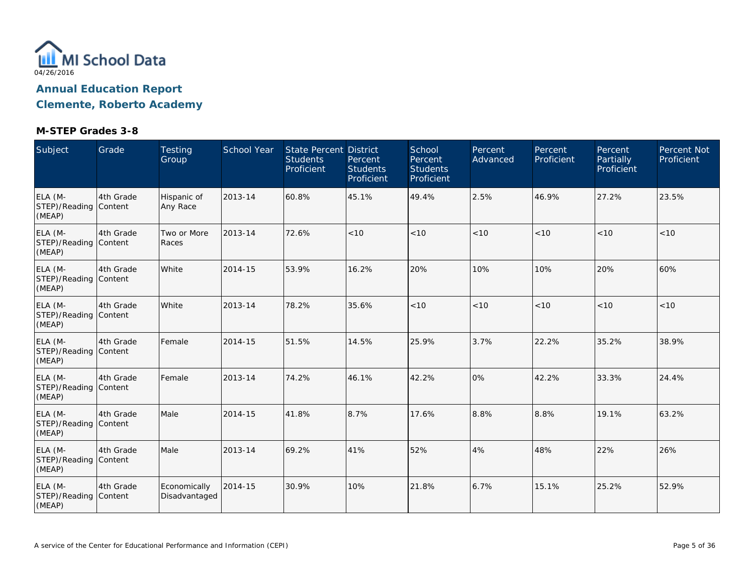

**Clemente, Roberto Academy**

| Subject                                    | Grade     | <b>Testing</b><br>Group       | <b>School Year</b> | <b>State Percent District</b><br><b>Students</b><br>Proficient | Percent<br><b>Students</b><br>Proficient | School<br>Percent<br><b>Students</b><br>Proficient | Percent<br>Advanced | Percent<br>Proficient | Percent<br>Partially<br>Proficient | Percent Not<br>Proficient |
|--------------------------------------------|-----------|-------------------------------|--------------------|----------------------------------------------------------------|------------------------------------------|----------------------------------------------------|---------------------|-----------------------|------------------------------------|---------------------------|
| ELA (M-<br>STEP)/Reading Content<br>(MEAP) | 4th Grade | Hispanic of<br>Any Race       | 2013-14            | 60.8%                                                          | 45.1%                                    | 49.4%                                              | 2.5%                | 46.9%                 | 27.2%                              | 23.5%                     |
| ELA (M-<br>STEP)/Reading Content<br>(MEAP) | 4th Grade | Two or More<br>Races          | 2013-14            | 72.6%                                                          | < 10                                     | < 10                                               | < 10                | < 10                  | < 10                               | < 10                      |
| ELA (M-<br>STEP)/Reading Content<br>(MEAP) | 4th Grade | White                         | 2014-15            | 53.9%                                                          | 16.2%                                    | 20%                                                | 10%                 | 10%                   | 20%                                | 60%                       |
| ELA (M-<br>STEP)/Reading Content<br>(MEAP) | 4th Grade | White                         | 2013-14            | 78.2%                                                          | 35.6%                                    | < 10                                               | < 10                | < 10                  | < 10                               | < 10                      |
| ELA (M-<br>STEP)/Reading Content<br>(MEAP) | 4th Grade | Female                        | 2014-15            | 51.5%                                                          | 14.5%                                    | 25.9%                                              | 3.7%                | 22.2%                 | 35.2%                              | 38.9%                     |
| ELA (M-<br>STEP)/Reading Content<br>(MEAP) | 4th Grade | Female                        | 2013-14            | 74.2%                                                          | 46.1%                                    | 42.2%                                              | 0%                  | 42.2%                 | 33.3%                              | 24.4%                     |
| ELA (M-<br>STEP)/Reading Content<br>(MEAP) | 4th Grade | Male                          | 2014-15            | 41.8%                                                          | 8.7%                                     | 17.6%                                              | 8.8%                | 8.8%                  | 19.1%                              | 63.2%                     |
| ELA (M-<br>STEP)/Reading Content<br>(MEAP) | 4th Grade | Male                          | 2013-14            | 69.2%                                                          | 41%                                      | 52%                                                | 4%                  | 48%                   | 22%                                | 26%                       |
| ELA (M-<br>STEP)/Reading Content<br>(MEAP) | 4th Grade | Economically<br>Disadvantaged | 2014-15            | 30.9%                                                          | 10%                                      | 21.8%                                              | 6.7%                | 15.1%                 | 25.2%                              | 52.9%                     |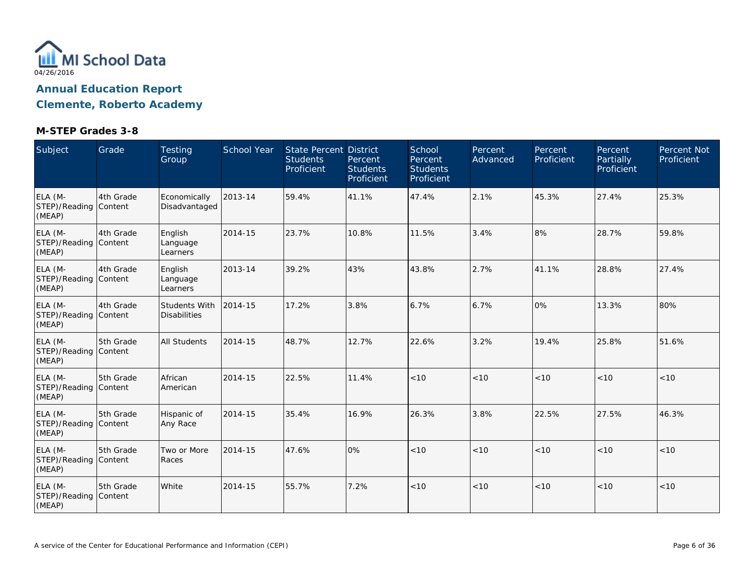

**Clemente, Roberto Academy**

| Subject                                    | Grade     | <b>Testing</b><br>Group              | <b>School Year</b> | <b>State Percent District</b><br><b>Students</b><br>Proficient | Percent<br><b>Students</b><br>Proficient | School<br>Percent<br><b>Students</b><br>Proficient | Percent<br>Advanced | Percent<br>Proficient | Percent<br>Partially<br>Proficient | Percent Not<br>Proficient |
|--------------------------------------------|-----------|--------------------------------------|--------------------|----------------------------------------------------------------|------------------------------------------|----------------------------------------------------|---------------------|-----------------------|------------------------------------|---------------------------|
| ELA (M-<br>STEP)/Reading Content<br>(MEAP) | 4th Grade | Economically<br>Disadvantaged        | 2013-14            | 59.4%                                                          | 41.1%                                    | 47.4%                                              | 2.1%                | 45.3%                 | 27.4%                              | 25.3%                     |
| ELA (M-<br>STEP)/Reading Content<br>(MEAP) | 4th Grade | English<br>Language<br>Learners      | 2014-15            | 23.7%                                                          | 10.8%                                    | 11.5%                                              | 3.4%                | 8%                    | 28.7%                              | 59.8%                     |
| ELA (M-<br>STEP)/Reading Content<br>(MEAP) | 4th Grade | English<br>Language<br>Learners      | 2013-14            | 39.2%                                                          | 43%                                      | 43.8%                                              | 2.7%                | 41.1%                 | 28.8%                              | 27.4%                     |
| ELA (M-<br>STEP)/Reading Content<br>(MEAP) | 4th Grade | Students With<br><b>Disabilities</b> | 2014-15            | 17.2%                                                          | 3.8%                                     | 6.7%                                               | 6.7%                | 0%                    | 13.3%                              | 80%                       |
| ELA (M-<br>STEP)/Reading Content<br>(MEAP) | 5th Grade | <b>All Students</b>                  | 2014-15            | 48.7%                                                          | 12.7%                                    | 22.6%                                              | 3.2%                | 19.4%                 | 25.8%                              | 51.6%                     |
| ELA (M-<br>STEP)/Reading Content<br>(MEAP) | 5th Grade | African<br>American                  | 2014-15            | 22.5%                                                          | 11.4%                                    | < 10                                               | < 10                | < 10                  | < 10                               | < 10                      |
| ELA (M-<br>STEP)/Reading Content<br>(MEAP) | 5th Grade | Hispanic of<br>Any Race              | 2014-15            | 35.4%                                                          | 16.9%                                    | 26.3%                                              | 3.8%                | 22.5%                 | 27.5%                              | 46.3%                     |
| ELA (M-<br>STEP)/Reading Content<br>(MEAP) | 5th Grade | Two or More<br>Races                 | 2014-15            | 47.6%                                                          | 0%                                       | < 10                                               | < 10                | < 10                  | < 10                               | < 10                      |
| ELA (M-<br>STEP)/Reading Content<br>(MEAP) | 5th Grade | White                                | 2014-15            | 55.7%                                                          | 7.2%                                     | < 10                                               | < 10                | < 10                  | < 10                               | < 10                      |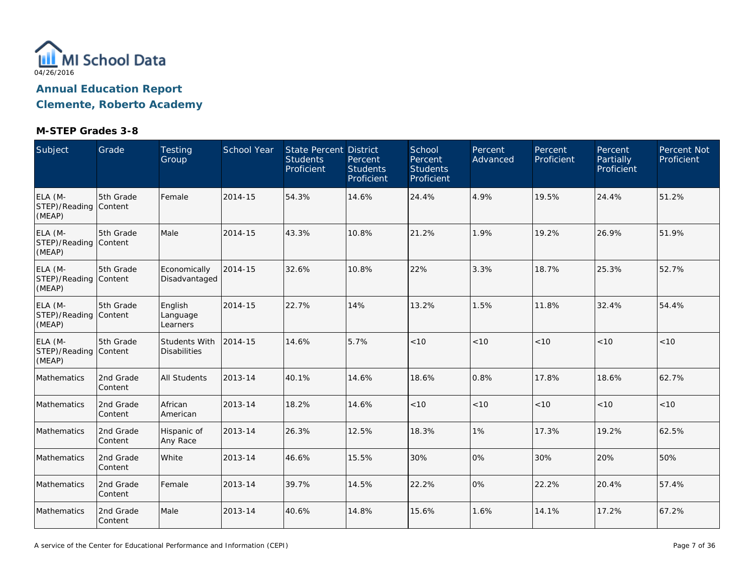

**Clemente, Roberto Academy**

| Subject                                    | Grade                | Testing<br>Group                     | School Year | State Percent District<br><b>Students</b><br>Proficient | Percent<br><b>Students</b><br>Proficient | School<br>Percent<br><b>Students</b><br>Proficient | <b>Percent</b><br>Advanced | Percent<br>Proficient | Percent<br>Partially<br>Proficient | Percent Not<br>Proficient |
|--------------------------------------------|----------------------|--------------------------------------|-------------|---------------------------------------------------------|------------------------------------------|----------------------------------------------------|----------------------------|-----------------------|------------------------------------|---------------------------|
| ELA (M-<br>STEP)/Reading Content<br>(MEAP) | 5th Grade            | Female                               | 2014-15     | 54.3%                                                   | 14.6%                                    | 24.4%                                              | 4.9%                       | 19.5%                 | 24.4%                              | 51.2%                     |
| ELA (M-<br>STEP)/Reading Content<br>(MEAP) | 5th Grade            | Male                                 | 2014-15     | 43.3%                                                   | 10.8%                                    | 21.2%                                              | 1.9%                       | 19.2%                 | 26.9%                              | 51.9%                     |
| ELA (M-<br>STEP)/Reading Content<br>(MEAP) | 5th Grade            | Economically<br>Disadvantaged        | 2014-15     | 32.6%                                                   | 10.8%                                    | 22%                                                | 3.3%                       | 18.7%                 | 25.3%                              | 52.7%                     |
| ELA (M-<br>STEP)/Reading Content<br>(MEAP) | 5th Grade            | English<br>Language<br>Learners      | 2014-15     | 22.7%                                                   | 14%                                      | 13.2%                                              | 1.5%                       | 11.8%                 | 32.4%                              | 54.4%                     |
| ELA (M-<br>STEP)/Reading Content<br>(MEAP) | 5th Grade            | Students With<br><b>Disabilities</b> | 2014-15     | 14.6%                                                   | 5.7%                                     | < 10                                               | < 10                       | < 10                  | < 10                               | < 10                      |
| Mathematics                                | 2nd Grade<br>Content | <b>All Students</b>                  | 2013-14     | 40.1%                                                   | 14.6%                                    | 18.6%                                              | 0.8%                       | 17.8%                 | 18.6%                              | 62.7%                     |
| Mathematics                                | 2nd Grade<br>Content | African<br>American                  | 2013-14     | 18.2%                                                   | 14.6%                                    | < 10                                               | < 10                       | < 10                  | < 10                               | < 10                      |
| Mathematics                                | 2nd Grade<br>Content | Hispanic of<br>Any Race              | 2013-14     | 26.3%                                                   | 12.5%                                    | 18.3%                                              | 1%                         | 17.3%                 | 19.2%                              | 62.5%                     |
| Mathematics                                | 2nd Grade<br>Content | White                                | 2013-14     | 46.6%                                                   | 15.5%                                    | 30%                                                | 0%                         | 30%                   | 20%                                | 50%                       |
| Mathematics                                | 2nd Grade<br>Content | Female                               | 2013-14     | 39.7%                                                   | 14.5%                                    | 22.2%                                              | 0%                         | 22.2%                 | 20.4%                              | 57.4%                     |
| Mathematics                                | 2nd Grade<br>Content | Male                                 | 2013-14     | 40.6%                                                   | 14.8%                                    | 15.6%                                              | 1.6%                       | 14.1%                 | 17.2%                              | 67.2%                     |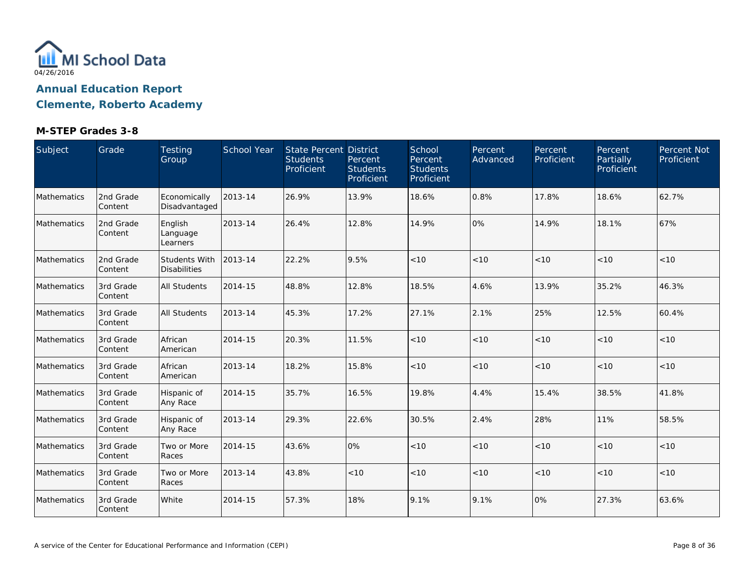

**Clemente, Roberto Academy**

| Subject            | Grade                 | Testing<br>Group                     | <b>School Year</b> | <b>State Percent District</b><br><b>Students</b><br>Proficient | Percent<br><b>Students</b><br>Proficient | School<br>Percent<br><b>Students</b><br>Proficient | Percent<br>Advanced | Percent<br>Proficient | Percent<br>Partially<br>Proficient | Percent Not<br>Proficient |
|--------------------|-----------------------|--------------------------------------|--------------------|----------------------------------------------------------------|------------------------------------------|----------------------------------------------------|---------------------|-----------------------|------------------------------------|---------------------------|
| Mathematics        | 2nd Grade<br>Content  | Economically<br>Disadvantaged        | 2013-14            | 26.9%                                                          | 13.9%                                    | 18.6%                                              | 0.8%                | 17.8%                 | 18.6%                              | 62.7%                     |
| <b>Mathematics</b> | 2nd Grade<br>Content  | English<br>Language<br>Learners      | 2013-14            | 26.4%                                                          | 12.8%                                    | 14.9%                                              | 0%                  | 14.9%                 | 18.1%                              | 67%                       |
| Mathematics        | 2nd Grade<br>Content  | Students With<br><b>Disabilities</b> | 2013-14            | 22.2%                                                          | 9.5%                                     | $<10$                                              | $<10$               | < 10                  | < 10                               | < 10                      |
| Mathematics        | 3rd Grade<br>Content  | <b>All Students</b>                  | 2014-15            | 48.8%                                                          | 12.8%                                    | 18.5%                                              | 4.6%                | 13.9%                 | 35.2%                              | 46.3%                     |
| <b>Mathematics</b> | 3rd Grade<br>Content  | <b>All Students</b>                  | 2013-14            | 45.3%                                                          | 17.2%                                    | 27.1%                                              | 2.1%                | 25%                   | 12.5%                              | 60.4%                     |
| Mathematics        | 3rd Grade<br>Content  | African<br>American                  | 2014-15            | 20.3%                                                          | 11.5%                                    | < 10                                               | < 10                | < 10                  | < 10                               | < 10                      |
| Mathematics        | 3rd Grade<br>Content  | African<br>American                  | 2013-14            | 18.2%                                                          | 15.8%                                    | $<10$                                              | < 10                | < 10                  | < 10                               | < 10                      |
| Mathematics        | 3rd Grade<br>Content  | Hispanic of<br>Any Race              | 2014-15            | 35.7%                                                          | 16.5%                                    | 19.8%                                              | 4.4%                | 15.4%                 | 38.5%                              | 41.8%                     |
| Mathematics        | 3rd Grade<br> Content | Hispanic of<br>Any Race              | 2013-14            | 29.3%                                                          | 22.6%                                    | 30.5%                                              | 2.4%                | 28%                   | 11%                                | 58.5%                     |
| Mathematics        | 3rd Grade<br>Content  | Two or More<br>Races                 | 2014-15            | 43.6%                                                          | 0%                                       | < 10                                               | $<10$               | < 10                  | < 10                               | < 10                      |
| Mathematics        | 3rd Grade<br>Content  | Two or More<br>Races                 | 2013-14            | 43.8%                                                          | < 10                                     | $<10$                                              | < 10                | < 10                  | < 10                               | < 10                      |
| Mathematics        | 3rd Grade<br>Content  | White                                | 2014-15            | 57.3%                                                          | 18%                                      | 9.1%                                               | 9.1%                | 0%                    | 27.3%                              | 63.6%                     |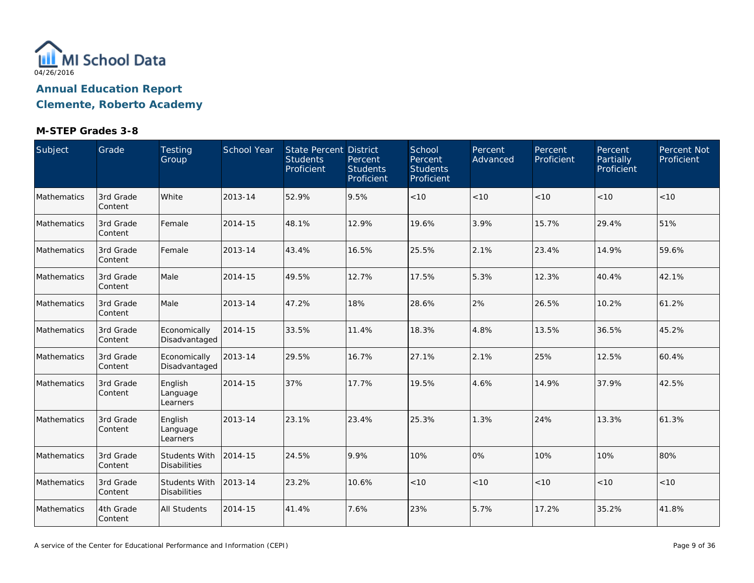

**Clemente, Roberto Academy**

| Subject     | Grade                | Testing<br>Group                     | School Year | State Percent District<br><b>Students</b><br>Proficient | Percent<br><b>Students</b><br>Proficient | School<br>Percent<br><b>Students</b><br>Proficient | <b>Percent</b><br>Advanced | Percent<br>Proficient | Percent<br>Partially<br>Proficient | Percent Not<br>Proficient |
|-------------|----------------------|--------------------------------------|-------------|---------------------------------------------------------|------------------------------------------|----------------------------------------------------|----------------------------|-----------------------|------------------------------------|---------------------------|
| Mathematics | 3rd Grade<br>Content | White                                | 2013-14     | 52.9%                                                   | 9.5%                                     | < 10                                               | < 10                       | < 10                  | < 10                               | < 10                      |
| Mathematics | 3rd Grade<br>Content | Female                               | 2014-15     | 48.1%                                                   | 12.9%                                    | 19.6%                                              | 3.9%                       | 15.7%                 | 29.4%                              | 51%                       |
| Mathematics | 3rd Grade<br>Content | Female                               | 2013-14     | 43.4%                                                   | 16.5%                                    | 25.5%                                              | 2.1%                       | 23.4%                 | 14.9%                              | 59.6%                     |
| Mathematics | 3rd Grade<br>Content | Male                                 | 2014-15     | 49.5%                                                   | 12.7%                                    | 17.5%                                              | 5.3%                       | 12.3%                 | 40.4%                              | 42.1%                     |
| Mathematics | 3rd Grade<br>Content | Male                                 | 2013-14     | 47.2%                                                   | 18%                                      | 28.6%                                              | 2%                         | 26.5%                 | 10.2%                              | 61.2%                     |
| Mathematics | 3rd Grade<br>Content | Economically<br>Disadvantaged        | 2014-15     | 33.5%                                                   | 11.4%                                    | 18.3%                                              | 4.8%                       | 13.5%                 | 36.5%                              | 45.2%                     |
| Mathematics | 3rd Grade<br>Content | Economically<br>Disadvantaged        | 2013-14     | 29.5%                                                   | 16.7%                                    | 27.1%                                              | 2.1%                       | 25%                   | 12.5%                              | 60.4%                     |
| Mathematics | 3rd Grade<br>Content | English<br>Language<br>Learners      | 2014-15     | 37%                                                     | 17.7%                                    | 19.5%                                              | 4.6%                       | 14.9%                 | 37.9%                              | 42.5%                     |
| Mathematics | 3rd Grade<br>Content | English<br>Language<br>Learners      | 2013-14     | 23.1%                                                   | 23.4%                                    | 25.3%                                              | 1.3%                       | 24%                   | 13.3%                              | 61.3%                     |
| Mathematics | 3rd Grade<br>Content | Students With<br><b>Disabilities</b> | 2014-15     | 24.5%                                                   | 9.9%                                     | 10%                                                | 0%                         | 10%                   | 10%                                | 80%                       |
| Mathematics | 3rd Grade<br>Content | Students With<br><b>Disabilities</b> | 2013-14     | 23.2%                                                   | 10.6%                                    | < 10                                               | < 10                       | < 10                  | < 10                               | < 10                      |
| Mathematics | 4th Grade<br>Content | <b>All Students</b>                  | 2014-15     | 41.4%                                                   | 7.6%                                     | 23%                                                | 5.7%                       | 17.2%                 | 35.2%                              | 41.8%                     |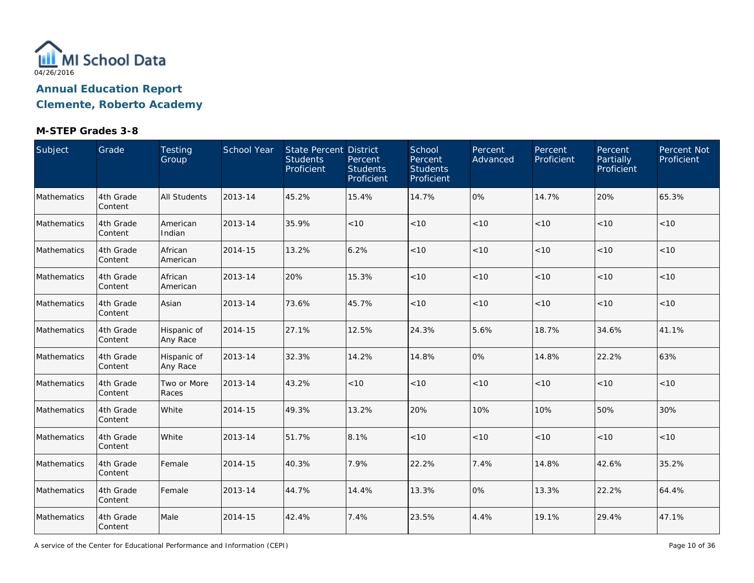

**Clemente, Roberto Academy**

## **M-STEP Grades 3-8**

| Subject     | Grade                | Testing<br>Group        | School Year | <b>State Percent District</b><br><b>Students</b><br>Proficient | Percent<br><b>Students</b><br>Proficient | School<br>Percent<br><b>Students</b><br>Proficient | Percent<br>Advanced | Percent<br>Proficient | Percent<br>Partially<br>Proficient | Percent Not<br>Proficient |
|-------------|----------------------|-------------------------|-------------|----------------------------------------------------------------|------------------------------------------|----------------------------------------------------|---------------------|-----------------------|------------------------------------|---------------------------|
| Mathematics | 4th Grade<br>Content | <b>All Students</b>     | 2013-14     | 45.2%                                                          | 15.4%                                    | 14.7%                                              | 0%                  | 14.7%                 | 20%                                | 65.3%                     |
| Mathematics | 4th Grade<br>Content | American<br>Indian      | 2013-14     | 35.9%                                                          | < 10                                     | $<10$                                              | $<10$               | < 10                  | < 10                               | < 10                      |
| Mathematics | 4th Grade<br>Content | African<br>American     | 2014-15     | 13.2%                                                          | 6.2%                                     | $<10$                                              | < 10                | < 10                  | < 10                               | $<10$                     |
| Mathematics | 4th Grade<br>Content | African<br>American     | 2013-14     | 20%                                                            | 15.3%                                    | < 10                                               | < 10                | < 10                  | < 10                               | < 10                      |
| Mathematics | 4th Grade<br>Content | Asian                   | 2013-14     | 73.6%                                                          | 45.7%                                    | < 10                                               | < 10                | $<10$                 | < 10                               | < 10                      |
| Mathematics | 4th Grade<br>Content | Hispanic of<br>Any Race | 2014-15     | 27.1%                                                          | 12.5%                                    | 24.3%                                              | 5.6%                | 18.7%                 | 34.6%                              | 41.1%                     |
| Mathematics | 4th Grade<br>Content | Hispanic of<br>Any Race | 2013-14     | 32.3%                                                          | 14.2%                                    | 14.8%                                              | 0%                  | 14.8%                 | 22.2%                              | 63%                       |
| Mathematics | 4th Grade<br>Content | Two or More<br>Races    | 2013-14     | 43.2%                                                          | < 10                                     | < 10                                               | < 10                | < 10                  | < 10                               | < 10                      |
| Mathematics | 4th Grade<br>Content | White                   | 2014-15     | 49.3%                                                          | 13.2%                                    | 20%                                                | 10%                 | 10%                   | 50%                                | 30%                       |
| Mathematics | 4th Grade<br>Content | White                   | 2013-14     | 51.7%                                                          | 8.1%                                     | < 10                                               | < 10                | < 10                  | < 10                               | < 10                      |
| Mathematics | 4th Grade<br>Content | Female                  | 2014-15     | 40.3%                                                          | 7.9%                                     | 22.2%                                              | 7.4%                | 14.8%                 | 42.6%                              | 35.2%                     |
| Mathematics | 4th Grade<br>Content | Female                  | 2013-14     | 44.7%                                                          | 14.4%                                    | 13.3%                                              | 0%                  | 13.3%                 | 22.2%                              | 64.4%                     |
| Mathematics | 4th Grade<br>Content | Male                    | 2014-15     | 42.4%                                                          | 7.4%                                     | 23.5%                                              | 4.4%                | 19.1%                 | 29.4%                              | 47.1%                     |

A service of the Center for Educational Performance and Information (CEPI)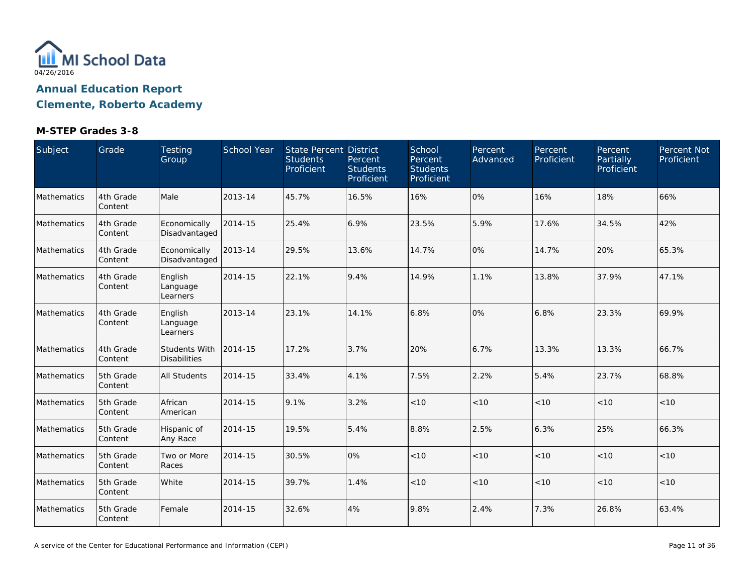

**Clemente, Roberto Academy**

| Subject     | Grade                | Testing<br>Group                     | School Year | <b>State Percent District</b><br><b>Students</b><br>Proficient | Percent<br><b>Students</b><br>Proficient | School<br>Percent<br><b>Students</b><br>Proficient | Percent<br>Advanced | Percent<br>Proficient | Percent<br>Partially<br>Proficient | Percent Not<br>Proficient |
|-------------|----------------------|--------------------------------------|-------------|----------------------------------------------------------------|------------------------------------------|----------------------------------------------------|---------------------|-----------------------|------------------------------------|---------------------------|
| Mathematics | 4th Grade<br>Content | Male                                 | 2013-14     | 45.7%                                                          | 16.5%                                    | 16%                                                | $0\%$               | 16%                   | 18%                                | 66%                       |
| Mathematics | 4th Grade<br>Content | Economically<br>Disadvantaged        | 2014-15     | 25.4%                                                          | 6.9%                                     | 23.5%                                              | 5.9%                | 17.6%                 | 34.5%                              | 42%                       |
| Mathematics | 4th Grade<br>Content | Economically<br>Disadvantaged        | 2013-14     | 29.5%                                                          | 13.6%                                    | 14.7%                                              | 0%                  | 14.7%                 | 20%                                | 65.3%                     |
| Mathematics | 4th Grade<br>Content | English<br>Language<br>Learners      | 2014-15     | 22.1%                                                          | 9.4%                                     | 14.9%                                              | 1.1%                | 13.8%                 | 37.9%                              | 47.1%                     |
| Mathematics | 4th Grade<br>Content | English<br>Language<br>Learners      | 2013-14     | 23.1%                                                          | 14.1%                                    | 6.8%                                               | 0%                  | 6.8%                  | 23.3%                              | 69.9%                     |
| Mathematics | 4th Grade<br>Content | Students With<br><b>Disabilities</b> | 2014-15     | 17.2%                                                          | 3.7%                                     | 20%                                                | 6.7%                | 13.3%                 | 13.3%                              | 66.7%                     |
| Mathematics | 5th Grade<br>Content | <b>All Students</b>                  | 2014-15     | 33.4%                                                          | 4.1%                                     | 7.5%                                               | 2.2%                | 5.4%                  | 23.7%                              | 68.8%                     |
| Mathematics | 5th Grade<br>Content | African<br>American                  | 2014-15     | 9.1%                                                           | 3.2%                                     | < 10                                               | < 10                | < 10                  | < 10                               | < 10                      |
| Mathematics | 5th Grade<br>Content | Hispanic of<br>Any Race              | 2014-15     | 19.5%                                                          | 5.4%                                     | 8.8%                                               | 2.5%                | 6.3%                  | 25%                                | 66.3%                     |
| Mathematics | 5th Grade<br>Content | Two or More<br>Races                 | 2014-15     | 30.5%                                                          | 0%                                       | $<10$                                              | $<10$               | < 10                  | < 10                               | < 10                      |
| Mathematics | 5th Grade<br>Content | White                                | 2014-15     | 39.7%                                                          | 1.4%                                     | < 10                                               | < 10                | < 10                  | < 10                               | < 10                      |
| Mathematics | 5th Grade<br>Content | Female                               | 2014-15     | 32.6%                                                          | 4%                                       | 9.8%                                               | 2.4%                | 7.3%                  | 26.8%                              | 63.4%                     |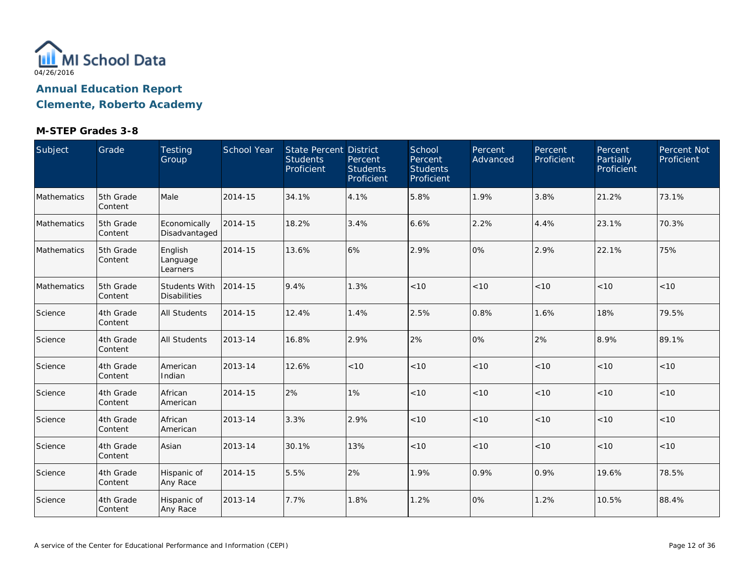

**Clemente, Roberto Academy**

| Subject            | Grade                 | Testing<br>Group                     | School Year | <b>State Percent District</b><br><b>Students</b><br>Proficient | Percent<br><b>Students</b><br>Proficient | School<br>Percent<br><b>Students</b><br>Proficient | Percent<br>Advanced | Percent<br>Proficient | <b>Percent</b><br>Partially<br>Proficient | Percent Not<br>Proficient |
|--------------------|-----------------------|--------------------------------------|-------------|----------------------------------------------------------------|------------------------------------------|----------------------------------------------------|---------------------|-----------------------|-------------------------------------------|---------------------------|
| Mathematics        | 5th Grade<br>Content  | Male                                 | 2014-15     | 34.1%                                                          | 4.1%                                     | 5.8%                                               | 1.9%                | 3.8%                  | 21.2%                                     | 73.1%                     |
| <b>Mathematics</b> | 5th Grade<br>Content  | Economically<br>Disadvantaged        | 2014-15     | 18.2%                                                          | 3.4%                                     | 6.6%                                               | 2.2%                | 4.4%                  | 23.1%                                     | 70.3%                     |
| Mathematics        | 5th Grade<br>Content  | English<br>Language<br>Learners      | 2014-15     | 13.6%                                                          | 6%                                       | 2.9%                                               | 0%                  | 2.9%                  | 22.1%                                     | 75%                       |
| Mathematics        | 5th Grade<br>Content  | Students With<br><b>Disabilities</b> | 2014-15     | 9.4%                                                           | 1.3%                                     | < 10                                               | < 10                | < 10                  | < 10                                      | < 10                      |
| Science            | 4th Grade<br>Content  | <b>All Students</b>                  | 2014-15     | 12.4%                                                          | 1.4%                                     | 2.5%                                               | 0.8%                | 1.6%                  | 18%                                       | 79.5%                     |
| Science            | 4th Grade<br>Content  | <b>All Students</b>                  | 2013-14     | 16.8%                                                          | 2.9%                                     | 2%                                                 | 0%                  | 2%                    | 8.9%                                      | 89.1%                     |
| Science            | 4th Grade<br>Content  | American<br>Indian                   | 2013-14     | 12.6%                                                          | $<10$                                    | $<10$                                              | < 10                | < 10                  | < 10                                      | <10                       |
| Science            | 4th Grade<br>Content  | African<br>American                  | 2014-15     | 2%                                                             | 1%                                       | < 10                                               | < 10                | < 10                  | < 10                                      | < 10                      |
| Science            | 4th Grade<br> Content | African<br>American                  | 2013-14     | 3.3%                                                           | 2.9%                                     | $<10$                                              | < 10                | < 10                  | < 10                                      | < 10                      |
| Science            | 4th Grade<br>Content  | Asian                                | 2013-14     | 30.1%                                                          | 13%                                      | < 10                                               | < 10                | < 10                  | < 10                                      | < 10                      |
| Science            | 4th Grade<br>Content  | Hispanic of<br>Any Race              | 2014-15     | 5.5%                                                           | 2%                                       | 1.9%                                               | 0.9%                | 0.9%                  | 19.6%                                     | 78.5%                     |
| Science            | 4th Grade<br>Content  | Hispanic of<br>Any Race              | 2013-14     | 7.7%                                                           | 1.8%                                     | 1.2%                                               | 0%                  | 1.2%                  | 10.5%                                     | 88.4%                     |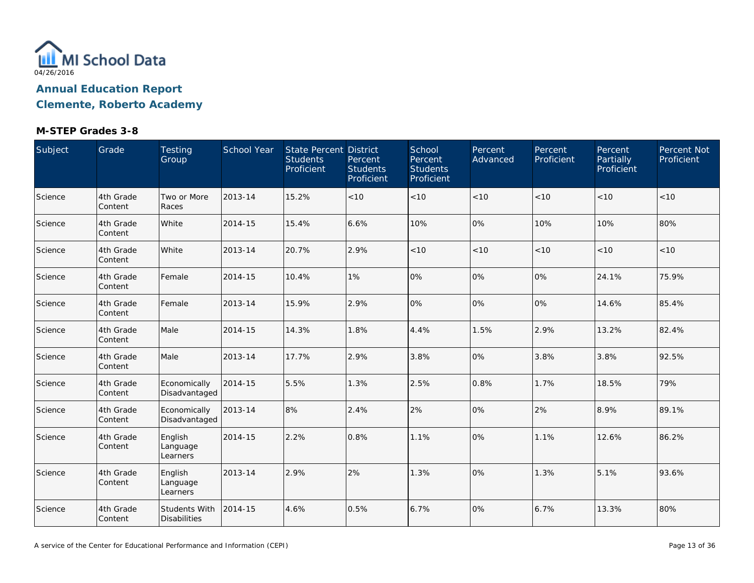

**Clemente, Roberto Academy**

| Subject | Grade                | <b>Testing</b><br>Group                     | School Year | State Percent District<br><b>Students</b><br>Proficient | Percent<br><b>Students</b><br>Proficient | School<br>Percent<br><b>Students</b><br>Proficient | Percent<br>Advanced | Percent<br>Proficient | Percent<br>Partially<br>Proficient | Percent Not<br>Proficient |
|---------|----------------------|---------------------------------------------|-------------|---------------------------------------------------------|------------------------------------------|----------------------------------------------------|---------------------|-----------------------|------------------------------------|---------------------------|
| Science | 4th Grade<br>Content | Two or More<br>Races                        | 2013-14     | 15.2%                                                   | < 10                                     | $<10$                                              | <10                 | < 10                  | < 10                               | $<10$                     |
| Science | 4th Grade<br>Content | White                                       | 2014-15     | 15.4%                                                   | 6.6%                                     | 10%                                                | 0%                  | 10%                   | 10%                                | 80%                       |
| Science | 4th Grade<br>Content | White                                       | 2013-14     | 20.7%                                                   | 2.9%                                     | $<10$                                              | $<10$               | $<10$                 | < 10                               | < 10                      |
| Science | 4th Grade<br>Content | Female                                      | 2014-15     | 10.4%                                                   | 1%                                       | 0%                                                 | 0%                  | 0%                    | 24.1%                              | 75.9%                     |
| Science | 4th Grade<br>Content | Female                                      | 2013-14     | 15.9%                                                   | 2.9%                                     | 0%                                                 | 0%                  | 0%                    | 14.6%                              | 85.4%                     |
| Science | 4th Grade<br>Content | Male                                        | 2014-15     | 14.3%                                                   | 1.8%                                     | 4.4%                                               | 1.5%                | 2.9%                  | 13.2%                              | 82.4%                     |
| Science | 4th Grade<br>Content | Male                                        | 2013-14     | 17.7%                                                   | 2.9%                                     | 3.8%                                               | 0%                  | 3.8%                  | 3.8%                               | 92.5%                     |
| Science | 4th Grade<br>Content | Economically<br>Disadvantaged               | 2014-15     | 5.5%                                                    | 1.3%                                     | 2.5%                                               | 0.8%                | 1.7%                  | 18.5%                              | 79%                       |
| Science | 4th Grade<br>Content | Economically<br>Disadvantaged               | 2013-14     | 8%                                                      | 2.4%                                     | 2%                                                 | 0%                  | 2%                    | 8.9%                               | 89.1%                     |
| Science | 4th Grade<br>Content | English<br>Language<br>Learners             | 2014-15     | 2.2%                                                    | 0.8%                                     | 1.1%                                               | 0%                  | 1.1%                  | 12.6%                              | 86.2%                     |
| Science | 4th Grade<br>Content | English<br>Language<br>Learners             | 2013-14     | 2.9%                                                    | 2%                                       | 1.3%                                               | 0%                  | 1.3%                  | 5.1%                               | 93.6%                     |
| Science | 4th Grade<br>Content | <b>Students With</b><br><b>Disabilities</b> | 2014-15     | 4.6%                                                    | 0.5%                                     | 6.7%                                               | 0%                  | 6.7%                  | 13.3%                              | 80%                       |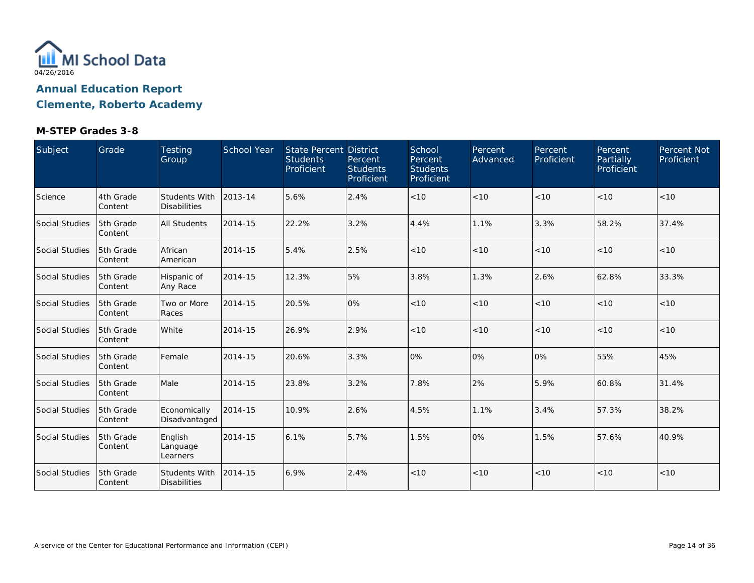

**Clemente, Roberto Academy**

| Subject               | Grade                 | Testing<br>Group                            | School Year | <b>State Percent District</b><br><b>Students</b><br>Proficient | Percent<br><b>Students</b><br>Proficient | School<br>Percent<br><b>Students</b><br>Proficient | Percent<br>Advanced | Percent<br>Proficient | Percent<br>Partially<br>Proficient | Percent Not<br>Proficient |
|-----------------------|-----------------------|---------------------------------------------|-------------|----------------------------------------------------------------|------------------------------------------|----------------------------------------------------|---------------------|-----------------------|------------------------------------|---------------------------|
| Science               | 4th Grade<br>Content  | <b>Students With</b><br><b>Disabilities</b> | 2013-14     | 5.6%                                                           | 2.4%                                     | < 10                                               | < 10                | < 10                  | < 10                               | < 10                      |
| Social Studies        | 5th Grade<br>Content  | <b>All Students</b>                         | 2014-15     | 22.2%                                                          | 3.2%                                     | 4.4%                                               | 1.1%                | 3.3%                  | 58.2%                              | 37.4%                     |
| Social Studies        | 5th Grade<br>Content  | African<br>American                         | 2014-15     | 5.4%                                                           | 2.5%                                     | < 10                                               | < 10                | < 10                  | < 10                               | < 10                      |
| Social Studies        | 5th Grade<br>Content  | Hispanic of<br>Any Race                     | 2014-15     | 12.3%                                                          | 5%                                       | 3.8%                                               | 1.3%                | 2.6%                  | 62.8%                              | 33.3%                     |
| Social Studies        | 5th Grade<br>Content  | Two or More<br>Races                        | 2014-15     | 20.5%                                                          | 0%                                       | < 10                                               | < 10                | < 10                  | < 10                               | $<10$                     |
| Social Studies        | 5th Grade<br>Content  | White                                       | 2014-15     | 26.9%                                                          | 2.9%                                     | < 10                                               | < 10                | < 10                  | < 10                               | < 10                      |
| Social Studies        | 5th Grade<br> Content | Female                                      | 2014-15     | 20.6%                                                          | 3.3%                                     | 0%                                                 | 0%                  | 0%                    | 55%                                | 45%                       |
| Social Studies        | 5th Grade<br>Content  | Male                                        | 2014-15     | 23.8%                                                          | 3.2%                                     | 7.8%                                               | 2%                  | 5.9%                  | 60.8%                              | 31.4%                     |
| Social Studies        | 5th Grade<br>Content  | Economically<br>Disadvantaged               | 2014-15     | 10.9%                                                          | 2.6%                                     | 4.5%                                               | 1.1%                | 3.4%                  | 57.3%                              | 38.2%                     |
| Social Studies        | 5th Grade<br>Content  | English<br>Language<br>Learners             | 2014-15     | 6.1%                                                           | 5.7%                                     | 1.5%                                               | 0%                  | 1.5%                  | 57.6%                              | 40.9%                     |
| <b>Social Studies</b> | 5th Grade<br>Content  | Students With<br><b>Disabilities</b>        | 2014-15     | 6.9%                                                           | 2.4%                                     | < 10                                               | < 10                | < 10                  | < 10                               | < 10                      |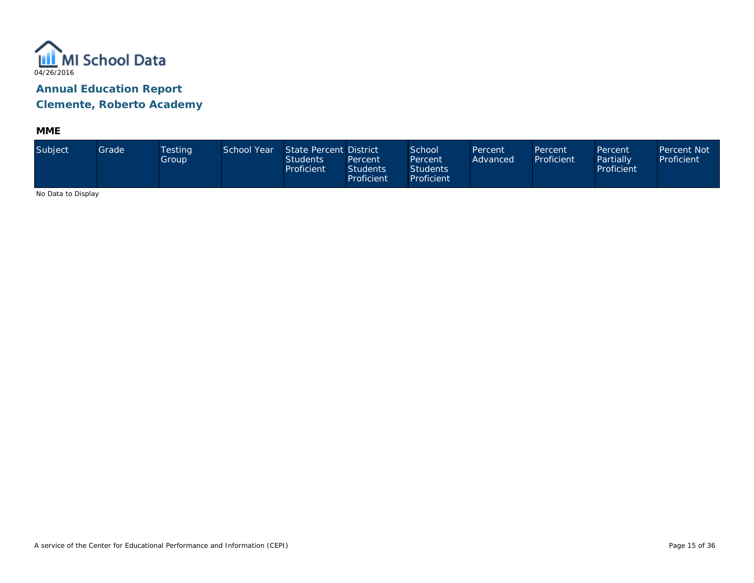

**MME**

| Subject             | Grade | <b>Testing</b><br>Group | School Year | State Percent District<br>Students<br>Proficient | Percent<br><b>Students</b><br>Proficient | School<br>Percent<br><b>Students</b><br>Proficient | Percent<br>Advanced | Percent<br>Proficient | Percent<br>Partially<br>Proficient | Percent Not<br>Proficient |
|---------------------|-------|-------------------------|-------------|--------------------------------------------------|------------------------------------------|----------------------------------------------------|---------------------|-----------------------|------------------------------------|---------------------------|
| No Data to Disalard |       |                         |             |                                                  |                                          |                                                    |                     |                       |                                    |                           |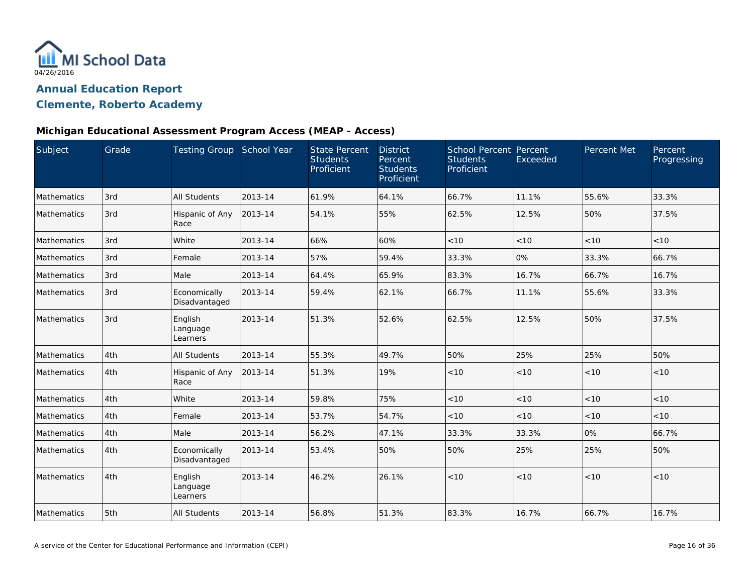

## **Clemente, Roberto Academy**

#### **Michigan Educational Assessment Program Access (MEAP - Access)**

| Subject            | Grade | Testing Group School Year       |         | <b>State Percent</b><br><b>Students</b><br>Proficient | <b>District</b><br>Percent<br><b>Students</b><br>Proficient | School Percent Percent<br><b>Students</b><br>Proficient | <b>Exceeded</b> | <b>Percent Met</b> | Percent<br>Progressing |
|--------------------|-------|---------------------------------|---------|-------------------------------------------------------|-------------------------------------------------------------|---------------------------------------------------------|-----------------|--------------------|------------------------|
| Mathematics        | 3rd   | <b>All Students</b>             | 2013-14 | 61.9%                                                 | 64.1%                                                       | 66.7%                                                   | 11.1%           | 55.6%              | 33.3%                  |
| Mathematics        | 3rd   | Hispanic of Any<br>Race         | 2013-14 | 54.1%                                                 | 55%                                                         | 62.5%                                                   | 12.5%           | 50%                | 37.5%                  |
| Mathematics        | 3rd   | White                           | 2013-14 | 66%                                                   | 60%                                                         | < 10                                                    | < 10            | < 10               | < 10                   |
| Mathematics        | 3rd   | Female                          | 2013-14 | 57%                                                   | 59.4%                                                       | 33.3%                                                   | 0%              | 33.3%              | 66.7%                  |
| Mathematics        | 3rd   | Male                            | 2013-14 | 64.4%                                                 | 65.9%                                                       | 83.3%                                                   | 16.7%           | 66.7%              | 16.7%                  |
| Mathematics        | 3rd   | Economically<br>Disadvantaged   | 2013-14 | 59.4%                                                 | 62.1%                                                       | 66.7%                                                   | 11.1%           | 55.6%              | 33.3%                  |
| <b>Mathematics</b> | 3rd   | English<br>Language<br>Learners | 2013-14 | 51.3%                                                 | 52.6%                                                       | 62.5%                                                   | 12.5%           | 50%                | 37.5%                  |
| Mathematics        | 4th   | All Students                    | 2013-14 | 55.3%                                                 | 49.7%                                                       | 50%                                                     | 25%             | 25%                | 50%                    |
| Mathematics        | 4th   | Hispanic of Any<br>Race         | 2013-14 | 51.3%                                                 | 19%                                                         | < 10                                                    | < 10            | < 10               | < 10                   |
| Mathematics        | 4th   | White                           | 2013-14 | 59.8%                                                 | 75%                                                         | < 10                                                    | < 10            | $<10$              | < 10                   |
| Mathematics        | 4th   | Female                          | 2013-14 | 53.7%                                                 | 54.7%                                                       | < 10                                                    | $<10$           | < 10               | < 10                   |
| Mathematics        | 4th   | Male                            | 2013-14 | 56.2%                                                 | 47.1%                                                       | 33.3%                                                   | 33.3%           | 0%                 | 66.7%                  |
| Mathematics        | 4th   | Economically<br>Disadvantaged   | 2013-14 | 53.4%                                                 | 50%                                                         | 50%                                                     | 25%             | 25%                | 50%                    |
| Mathematics        | 4th   | English<br>Language<br>Learners | 2013-14 | 46.2%                                                 | 26.1%                                                       | < 10                                                    | < 10            | < 10               | < 10                   |
| Mathematics        | 5th   | <b>All Students</b>             | 2013-14 | 56.8%                                                 | 51.3%                                                       | 83.3%                                                   | 16.7%           | 66.7%              | 16.7%                  |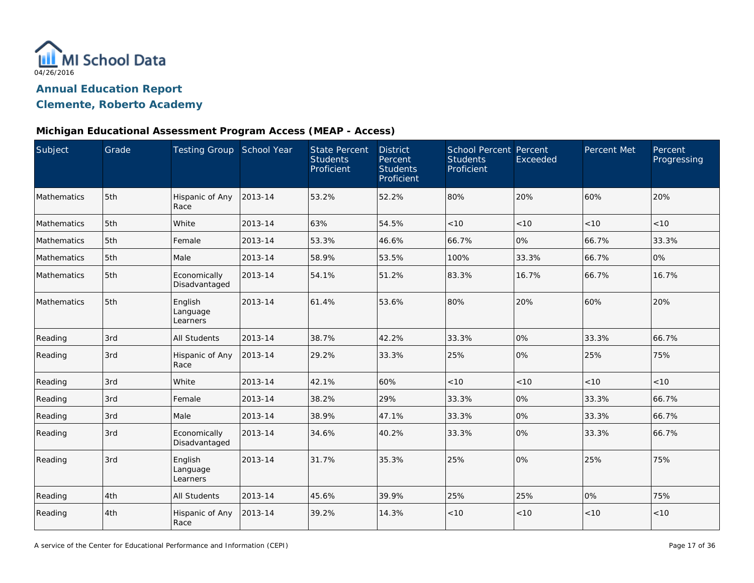

## **Clemente, Roberto Academy**

#### **Michigan Educational Assessment Program Access (MEAP - Access)**

| Subject            | Grade | Testing Group School Year       |         | <b>State Percent</b><br><b>Students</b><br>Proficient | <b>District</b><br>Percent<br><b>Students</b><br>Proficient | <b>School Percent Percent</b><br><b>Students</b><br>Proficient | Exceeded | Percent Met | Percent<br>Progressing |
|--------------------|-------|---------------------------------|---------|-------------------------------------------------------|-------------------------------------------------------------|----------------------------------------------------------------|----------|-------------|------------------------|
| Mathematics        | 5th   | Hispanic of Any<br>Race         | 2013-14 | 53.2%                                                 | 52.2%                                                       | 80%                                                            | 20%      | 60%         | 20%                    |
| Mathematics        | 5th   | White                           | 2013-14 | 63%                                                   | 54.5%                                                       | < 10                                                           | < 10     | < 10        | < 10                   |
| Mathematics        | 5th   | Female                          | 2013-14 | 53.3%                                                 | 46.6%                                                       | 66.7%                                                          | 0%       | 66.7%       | 33.3%                  |
| <b>Mathematics</b> | 5th   | Male                            | 2013-14 | 58.9%                                                 | 53.5%                                                       | 100%                                                           | 33.3%    | 66.7%       | 0%                     |
| <b>Mathematics</b> | 5th   | Economically<br>Disadvantaged   | 2013-14 | 54.1%                                                 | 51.2%                                                       | 83.3%                                                          | 16.7%    | 66.7%       | 16.7%                  |
| Mathematics        | 5th   | English<br>Language<br>Learners | 2013-14 | 61.4%                                                 | 53.6%                                                       | 80%                                                            | 20%      | 60%         | 20%                    |
| Reading            | 3rd   | All Students                    | 2013-14 | 38.7%                                                 | 42.2%                                                       | 33.3%                                                          | 0%       | 33.3%       | 66.7%                  |
| Reading            | 3rd   | Hispanic of Any<br>Race         | 2013-14 | 29.2%                                                 | 33.3%                                                       | 25%                                                            | 0%       | 25%         | 75%                    |
| Reading            | 3rd   | White                           | 2013-14 | 42.1%                                                 | 60%                                                         | < 10                                                           | < 10     | < 10        | < 10                   |
| Reading            | 3rd   | Female                          | 2013-14 | 38.2%                                                 | 29%                                                         | 33.3%                                                          | 0%       | 33.3%       | 66.7%                  |
| Reading            | 3rd   | Male                            | 2013-14 | 38.9%                                                 | 47.1%                                                       | 33.3%                                                          | 0%       | 33.3%       | 66.7%                  |
| Reading            | 3rd   | Economically<br>Disadvantaged   | 2013-14 | 34.6%                                                 | 40.2%                                                       | 33.3%                                                          | 0%       | 33.3%       | 66.7%                  |
| Reading            | 3rd   | English<br>Language<br>Learners | 2013-14 | 31.7%                                                 | 35.3%                                                       | 25%                                                            | 0%       | 25%         | 75%                    |
| Reading            | 4th   | All Students                    | 2013-14 | 45.6%                                                 | 39.9%                                                       | 25%                                                            | 25%      | 0%          | 75%                    |
| Reading            | 4th   | Hispanic of Any<br>Race         | 2013-14 | 39.2%                                                 | 14.3%                                                       | < 10                                                           | < 10     | $<10$       | < 10                   |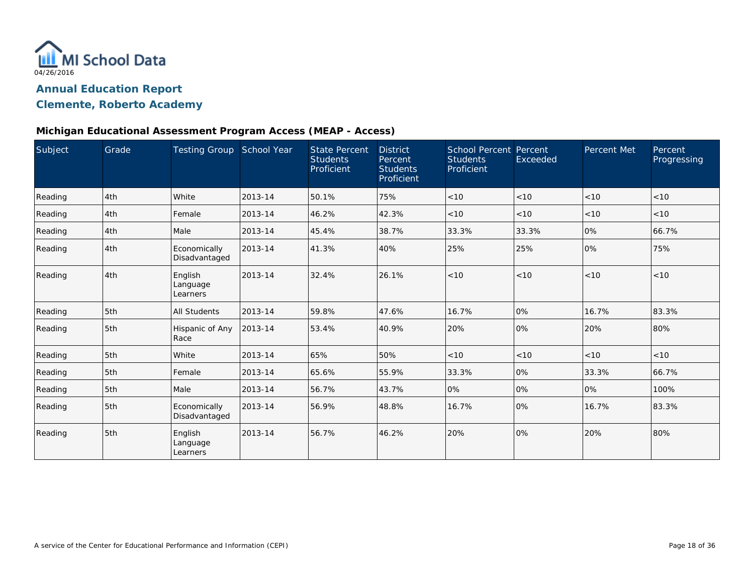

## **Clemente, Roberto Academy**

#### **Michigan Educational Assessment Program Access (MEAP - Access)**

| Subject | Grade | <b>Testing Group</b>            | School Year | <b>State Percent</b><br><b>Students</b><br>Proficient | <b>District</b><br>Percent<br><b>Students</b><br>Proficient | <b>School Percent Percent</b><br><b>Students</b><br>Proficient | Exceeded | Percent Met | Percent<br>Progressing |
|---------|-------|---------------------------------|-------------|-------------------------------------------------------|-------------------------------------------------------------|----------------------------------------------------------------|----------|-------------|------------------------|
| Reading | 4th   | White                           | 2013-14     | 50.1%                                                 | 75%                                                         | < 10                                                           | < 10     | < 10        | < 10                   |
| Reading | 4th   | Female                          | 2013-14     | 46.2%                                                 | 42.3%                                                       | < 10                                                           | < 10     | < 10        | < 10                   |
| Reading | 4th   | Male                            | 2013-14     | 45.4%                                                 | 38.7%                                                       | 33.3%                                                          | 33.3%    | 0%          | 66.7%                  |
| Reading | 4th   | Economically<br>Disadvantaged   | 2013-14     | 41.3%                                                 | 40%                                                         | 25%                                                            | 25%      | 0%          | 75%                    |
| Reading | 4th   | English<br>Language<br>Learners | 2013-14     | 32.4%                                                 | 26.1%                                                       | < 10                                                           | < 10     | < 10        | < 10                   |
| Reading | 5th   | <b>All Students</b>             | 2013-14     | 59.8%                                                 | 47.6%                                                       | 16.7%                                                          | 0%       | 16.7%       | 83.3%                  |
| Reading | 5th   | Hispanic of Any<br>Race         | 2013-14     | 53.4%                                                 | 40.9%                                                       | 20%                                                            | 0%       | 20%         | 80%                    |
| Reading | 5th   | White                           | 2013-14     | 65%                                                   | 50%                                                         | < 10                                                           | < 10     | < 10        | < 10                   |
| Reading | 5th   | Female                          | 2013-14     | 65.6%                                                 | 55.9%                                                       | 33.3%                                                          | 0%       | 33.3%       | 66.7%                  |
| Reading | 5th   | Male                            | 2013-14     | 56.7%                                                 | 43.7%                                                       | 0%                                                             | 0%       | 0%          | 100%                   |
| Reading | 5th   | Economically<br>Disadvantaged   | 2013-14     | 56.9%                                                 | 48.8%                                                       | 16.7%                                                          | 0%       | 16.7%       | 83.3%                  |
| Reading | 5th   | English<br>Language<br>Learners | 2013-14     | 56.7%                                                 | 46.2%                                                       | 20%                                                            | 0%       | 20%         | 80%                    |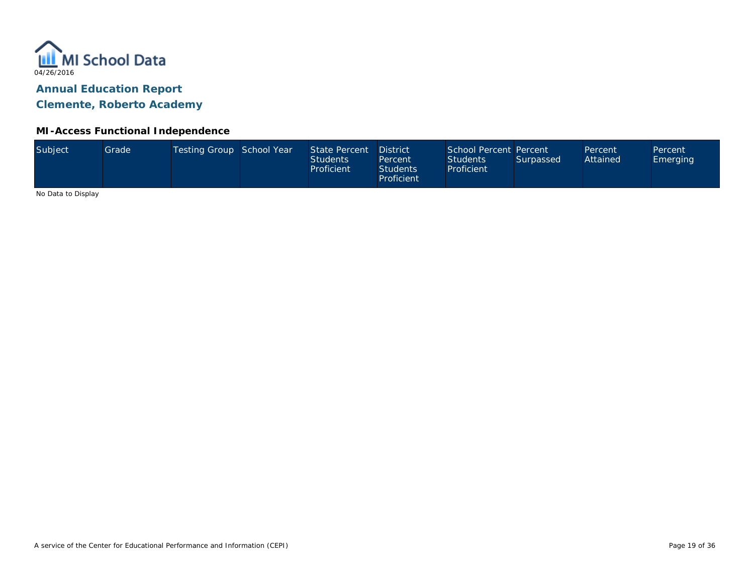

**Clemente, Roberto Academy**

#### **MI-Access Functional Independence**

| Subject<br>Testing Group School Year<br>School Percent Percent<br>State Percent<br><b>District</b><br>Grade <sup>1</sup><br>Percent<br>Attained<br><b>Students</b><br><b>Students</b><br>Surpassed<br>Percent<br>Proficient<br>Proficient<br><b>Students</b><br>Proficient |  |  |  |  |  |  |  | Percent<br><b>Emerging</b> |  |
|----------------------------------------------------------------------------------------------------------------------------------------------------------------------------------------------------------------------------------------------------------------------------|--|--|--|--|--|--|--|----------------------------|--|
|----------------------------------------------------------------------------------------------------------------------------------------------------------------------------------------------------------------------------------------------------------------------------|--|--|--|--|--|--|--|----------------------------|--|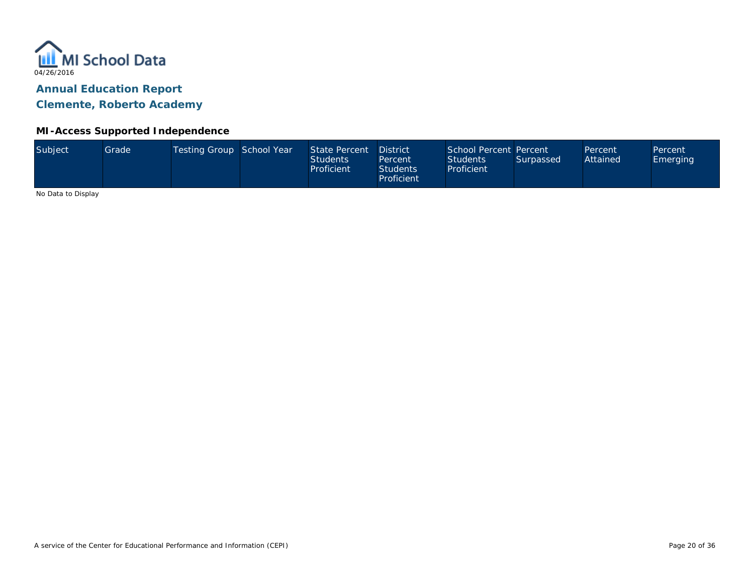

**Clemente, Roberto Academy**

#### **MI-Access Supported Independence**

| Subject<br>Testing Group School Year<br>School Percent Percent<br>State Percent<br>Grade<br><b>District</b><br>Percent<br>Attained<br><b>Students</b><br><b>Students</b><br>Surpassed<br>Percent<br>Proficient<br>Proficient<br><b>Students</b><br>Proficient | Percent<br>Emerging |  |
|---------------------------------------------------------------------------------------------------------------------------------------------------------------------------------------------------------------------------------------------------------------|---------------------|--|
|---------------------------------------------------------------------------------------------------------------------------------------------------------------------------------------------------------------------------------------------------------------|---------------------|--|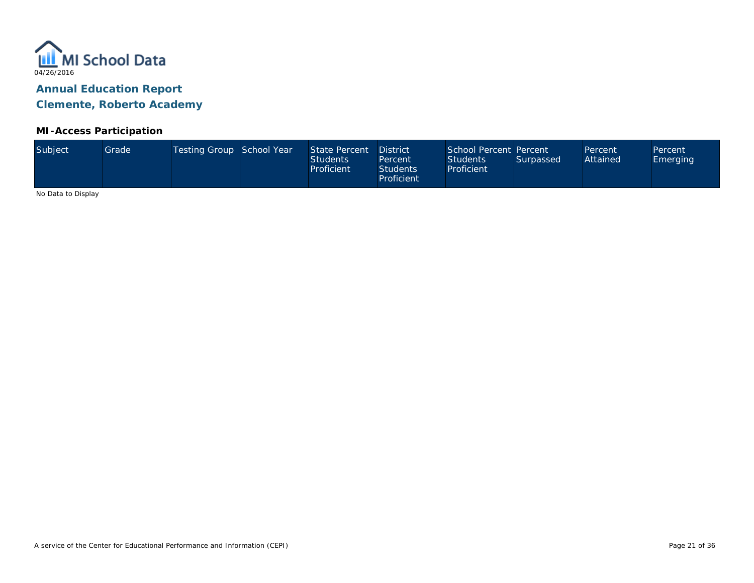

#### **MI-Access Participation**

| Subject<br>Testing Group School Year<br>State Percent<br>Grade <sup>1</sup><br>Attained<br><b>Students</b><br><b>Students</b><br>Surpassed<br><b>Emerging</b><br>Percent<br>Proficient<br>Proficient<br><b>Students</b><br>Proficient | School Percent Percent<br><b>District</b><br>Percent<br>Percent |
|---------------------------------------------------------------------------------------------------------------------------------------------------------------------------------------------------------------------------------------|-----------------------------------------------------------------|
|---------------------------------------------------------------------------------------------------------------------------------------------------------------------------------------------------------------------------------------|-----------------------------------------------------------------|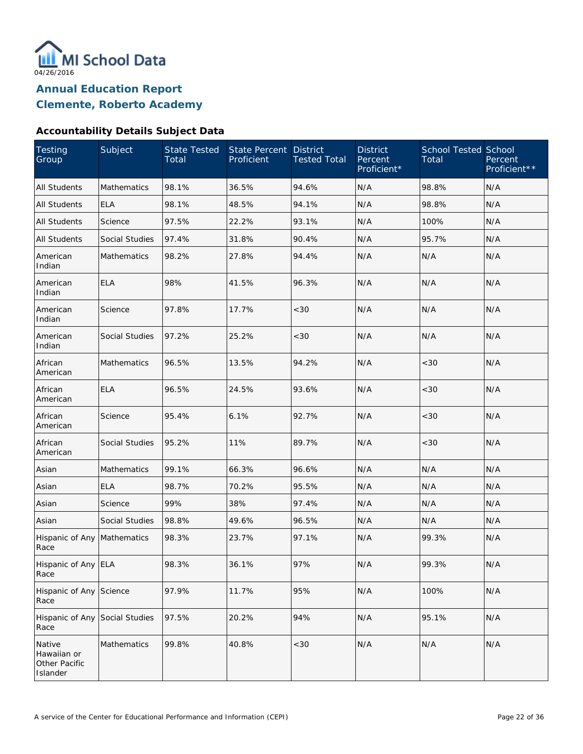

#### **Accountability Details Subject Data**

| Testing<br>Group                                   | Subject               | <b>State Tested</b><br>Total | <b>State Percent</b><br>Proficient | <b>District</b><br><b>Tested Total</b> | <b>District</b><br>Percent<br>Proficient* | <b>School Tested School</b><br>Total | Percent<br>Proficient** |
|----------------------------------------------------|-----------------------|------------------------------|------------------------------------|----------------------------------------|-------------------------------------------|--------------------------------------|-------------------------|
| <b>All Students</b>                                | Mathematics           | 98.1%                        | 36.5%                              | 94.6%                                  | N/A                                       | 98.8%                                | N/A                     |
| <b>All Students</b>                                | <b>ELA</b>            | 98.1%                        | 48.5%                              | 94.1%                                  | N/A                                       | 98.8%                                | N/A                     |
| All Students                                       | Science               | 97.5%                        | 22.2%                              | 93.1%                                  | N/A                                       | 100%                                 | N/A                     |
| <b>All Students</b>                                | Social Studies        | 97.4%                        | 31.8%                              | 90.4%                                  | N/A                                       | 95.7%                                | N/A                     |
| American<br>Indian                                 | <b>Mathematics</b>    | 98.2%                        | 27.8%                              | 94.4%                                  | N/A                                       | N/A                                  | N/A                     |
| American<br>Indian                                 | <b>ELA</b>            | 98%                          | 41.5%                              | 96.3%                                  | N/A                                       | N/A                                  | N/A                     |
| American<br>Indian                                 | Science               | 97.8%                        | 17.7%                              | <30                                    | N/A                                       | N/A                                  | N/A                     |
| American<br>Indian                                 | Social Studies        | 97.2%                        | 25.2%                              | <30                                    | N/A                                       | N/A                                  | N/A                     |
| African<br>American                                | Mathematics           | 96.5%                        | 13.5%                              | 94.2%                                  | N/A                                       | <30                                  | N/A                     |
| African<br>American                                | <b>ELA</b>            | 96.5%                        | 24.5%                              | 93.6%                                  | N/A                                       | <30                                  | N/A                     |
| African<br>American                                | Science               | 95.4%                        | 6.1%                               | 92.7%                                  | N/A                                       | <30                                  | N/A                     |
| African<br>American                                | Social Studies        | 95.2%                        | 11%                                | 89.7%                                  | N/A                                       | $<30$                                | N/A                     |
| Asian                                              | Mathematics           | 99.1%                        | 66.3%                              | 96.6%                                  | N/A                                       | N/A                                  | N/A                     |
| Asian                                              | <b>ELA</b>            | 98.7%                        | 70.2%                              | 95.5%                                  | N/A                                       | N/A                                  | N/A                     |
| Asian                                              | Science               | 99%                          | 38%                                | 97.4%                                  | N/A                                       | N/A                                  | N/A                     |
| Asian                                              | <b>Social Studies</b> | 98.8%                        | 49.6%                              | 96.5%                                  | N/A                                       | N/A                                  | N/A                     |
| Hispanic of Any<br>Race                            | Mathematics           | 98.3%                        | 23.7%                              | 97.1%                                  | N/A                                       | 99.3%                                | N/A                     |
| Hispanic of Any ELA<br>Race                        |                       | 98.3%                        | 36.1%                              | 97%                                    | N/A                                       | 99.3%                                | N/A                     |
| Hispanic of Any<br>Race                            | Science               | 97.9%                        | 11.7%                              | 95%                                    | N/A                                       | 100%                                 | N/A                     |
| Hispanic of Any<br>Race                            | Social Studies        | 97.5%                        | 20.2%                              | 94%                                    | N/A                                       | 95.1%                                | N/A                     |
| Native<br>Hawaiian or<br>Other Pacific<br>Islander | Mathematics           | 99.8%                        | 40.8%                              | $<30$                                  | N/A                                       | N/A                                  | N/A                     |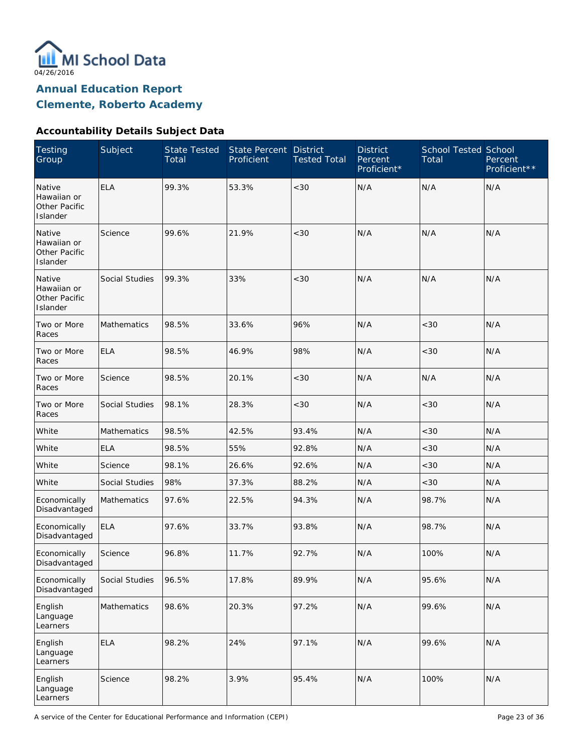

**Clemente, Roberto Academy**

### **Accountability Details Subject Data**

| <b>Testing</b><br>Group                                   | Subject            | <b>State Tested</b><br>Total | State Percent<br>Proficient | <b>District</b><br><b>Tested Total</b> | <b>District</b><br>Percent<br>Proficient* | <b>School Tested School</b><br>Total | Percent<br>Proficient** |
|-----------------------------------------------------------|--------------------|------------------------------|-----------------------------|----------------------------------------|-------------------------------------------|--------------------------------------|-------------------------|
| Native<br>Hawaiian or<br><b>Other Pacific</b><br>Islander | <b>ELA</b>         | 99.3%                        | 53.3%                       | < 30                                   | N/A                                       | N/A                                  | N/A                     |
| Native<br>Hawaiian or<br>Other Pacific<br>Islander        | Science            | 99.6%                        | 21.9%                       | < 30                                   | N/A                                       | N/A                                  | N/A                     |
| Native<br>Hawaiian or<br>Other Pacific<br>Islander        | Social Studies     | 99.3%                        | 33%                         | < 30                                   | N/A                                       | N/A                                  | N/A                     |
| Two or More<br>Races                                      | Mathematics        | 98.5%                        | 33.6%                       | 96%                                    | N/A                                       | <30                                  | N/A                     |
| Two or More<br>Races                                      | <b>ELA</b>         | 98.5%                        | 46.9%                       | 98%                                    | N/A                                       | < 30                                 | N/A                     |
| Two or More<br>Races                                      | Science            | 98.5%                        | 20.1%                       | $<30$                                  | N/A                                       | N/A                                  | N/A                     |
| Two or More<br>Races                                      | Social Studies     | 98.1%                        | 28.3%                       | $<30$                                  | N/A                                       | <30                                  | N/A                     |
| White                                                     | <b>Mathematics</b> | 98.5%                        | 42.5%                       | 93.4%                                  | N/A                                       | < 30                                 | N/A                     |
| White                                                     | <b>ELA</b>         | 98.5%                        | 55%                         | 92.8%                                  | N/A                                       | <30                                  | N/A                     |
| White                                                     | Science            | 98.1%                        | 26.6%                       | 92.6%                                  | N/A                                       | <30                                  | N/A                     |
| White                                                     | Social Studies     | 98%                          | 37.3%                       | 88.2%                                  | N/A                                       | < 30                                 | N/A                     |
| Economically<br>Disadvantaged                             | <b>Mathematics</b> | 97.6%                        | 22.5%                       | 94.3%                                  | N/A                                       | 98.7%                                | N/A                     |
| Economically<br>Disadvantaged                             | <b>ELA</b>         | 97.6%                        | 33.7%                       | 93.8%                                  | N/A                                       | 98.7%                                | N/A                     |
| Economically<br>Disadvantaged                             | Science            | 96.8%                        | 11.7%                       | 92.7%                                  | N/A                                       | 100%                                 | N/A                     |
| Economically<br>Disadvantaged                             | Social Studies     | 96.5%                        | 17.8%                       | 89.9%                                  | N/A                                       | 95.6%                                | N/A                     |
| English<br>Language<br>Learners                           | Mathematics        | 98.6%                        | 20.3%                       | 97.2%                                  | N/A                                       | 99.6%                                | N/A                     |
| English<br>Language<br>Learners                           | <b>ELA</b>         | 98.2%                        | 24%                         | 97.1%                                  | N/A                                       | 99.6%                                | N/A                     |
| English<br>Language<br>Learners                           | Science            | 98.2%                        | 3.9%                        | 95.4%                                  | N/A                                       | 100%                                 | N/A                     |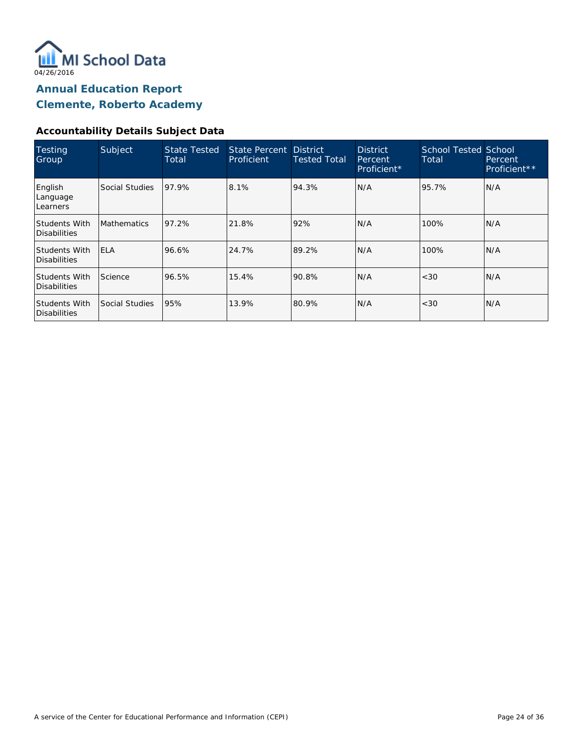

#### **Accountability Details Subject Data**

| Testing<br>Group                     | Subject            | <b>State Tested</b><br>Total | State Percent District<br>Proficient | <b>Tested Total</b> | <b>District</b><br>Percent.<br>Proficient* | School Tested School<br>Total | Percent<br>Proficient** |
|--------------------------------------|--------------------|------------------------------|--------------------------------------|---------------------|--------------------------------------------|-------------------------------|-------------------------|
| English<br>Language<br>Learners      | Social Studies     | 97.9%                        | 8.1%                                 | 94.3%               | N/A                                        | 95.7%                         | N/A                     |
| Students With<br>Disabilities        | <b>Mathematics</b> | 97.2%                        | 21.8%                                | 92%                 | N/A                                        | 100%                          | N/A                     |
| Students With<br>Disabilities        | <b>ELA</b>         | 96.6%                        | 24.7%                                | 89.2%               | N/A                                        | 100%                          | N/A                     |
| Students With<br>Disabilities        | Science            | 96.5%                        | 15.4%                                | 90.8%               | N/A                                        | <30                           | IN/A                    |
| <b>Students With</b><br>Disabilities | Social Studies     | 95%                          | 13.9%                                | 80.9%               | N/A                                        | <30                           | N/A                     |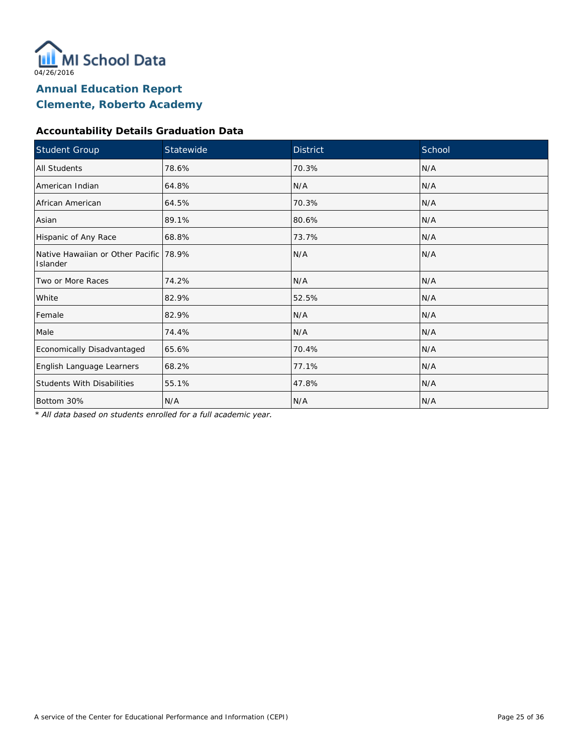

### **Accountability Details Graduation Data**

| Student Group                                      | Statewide | <b>District</b> | School |
|----------------------------------------------------|-----------|-----------------|--------|
| All Students                                       | 78.6%     | 70.3%           | N/A    |
| American Indian                                    | 64.8%     | N/A             | N/A    |
| African American                                   | 64.5%     | 70.3%           | N/A    |
| Asian                                              | 89.1%     | 80.6%           | N/A    |
| Hispanic of Any Race                               | 68.8%     | 73.7%           | N/A    |
| Native Hawaiian or Other Pacific 78.9%<br>Islander |           | N/A             | N/A    |
| Two or More Races                                  | 74.2%     | N/A             | N/A    |
| White                                              | 82.9%     | 52.5%           | N/A    |
| Female                                             | 82.9%     | N/A             | N/A    |
| Male                                               | 74.4%     | N/A             | N/A    |
| Economically Disadvantaged                         | 65.6%     | 70.4%           | N/A    |
| English Language Learners                          | 68.2%     | 77.1%           | N/A    |
| <b>Students With Disabilities</b>                  | 55.1%     | 47.8%           | N/A    |
| Bottom 30%                                         | N/A       | N/A             | N/A    |

*\* All data based on students enrolled for a full academic year.*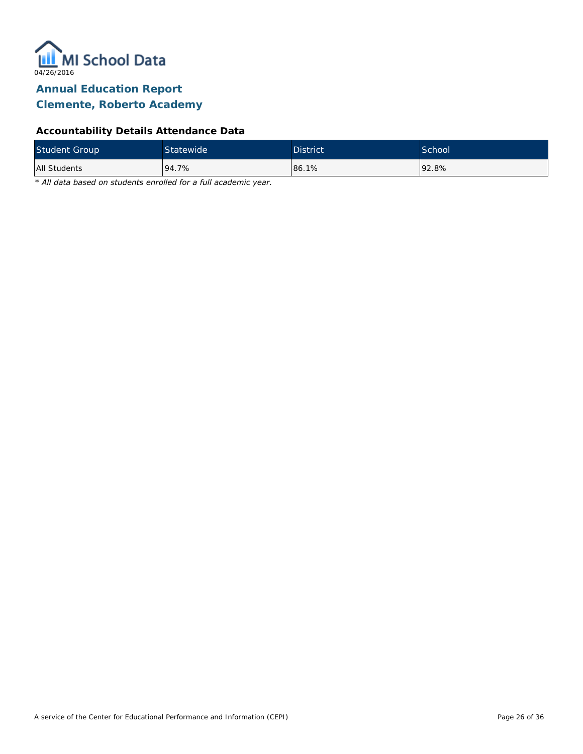

# **Clemente, Roberto Academy**

### **Accountability Details Attendance Data**

| <b>Student Group</b> | Statewide | <b>District</b> | School <sup>'</sup> |
|----------------------|-----------|-----------------|---------------------|
| All Students         | 94.7%     | 86.1%           | 192.8%              |

*\* All data based on students enrolled for a full academic year.*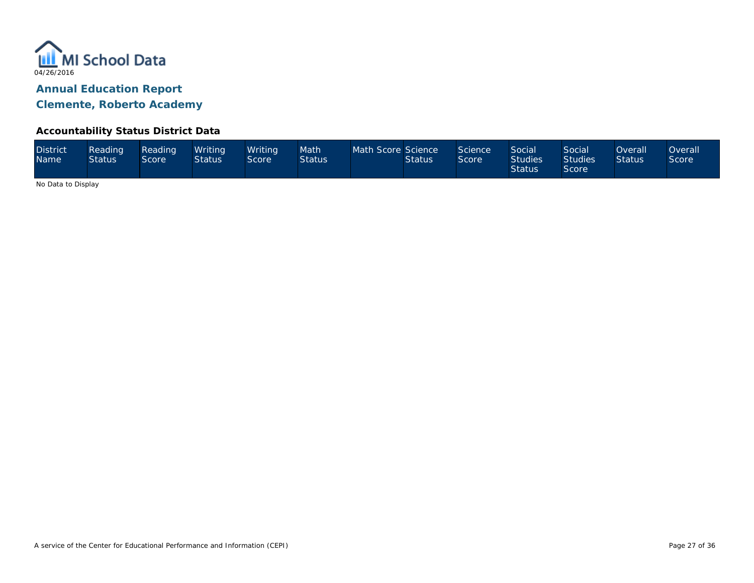

#### **Accountability Status District Data**

| <b>District</b><br><b>Name</b> | Reading<br><b>Status</b> | Reading<br>Score | Writina<br><b>Status</b> | Writina<br>Score | Math<br><b>Status</b> | Math Score Science | <b>Status</b> | Science<br>Score | Social <sup>1</sup><br><b>Studies</b><br><b>Status</b> | <b>Social</b><br><b>Studies</b><br>Score | Overall <sup>1</sup><br><b>Status</b> | <b>Overall</b><br>Score <sup>®</sup> |
|--------------------------------|--------------------------|------------------|--------------------------|------------------|-----------------------|--------------------|---------------|------------------|--------------------------------------------------------|------------------------------------------|---------------------------------------|--------------------------------------|
|--------------------------------|--------------------------|------------------|--------------------------|------------------|-----------------------|--------------------|---------------|------------------|--------------------------------------------------------|------------------------------------------|---------------------------------------|--------------------------------------|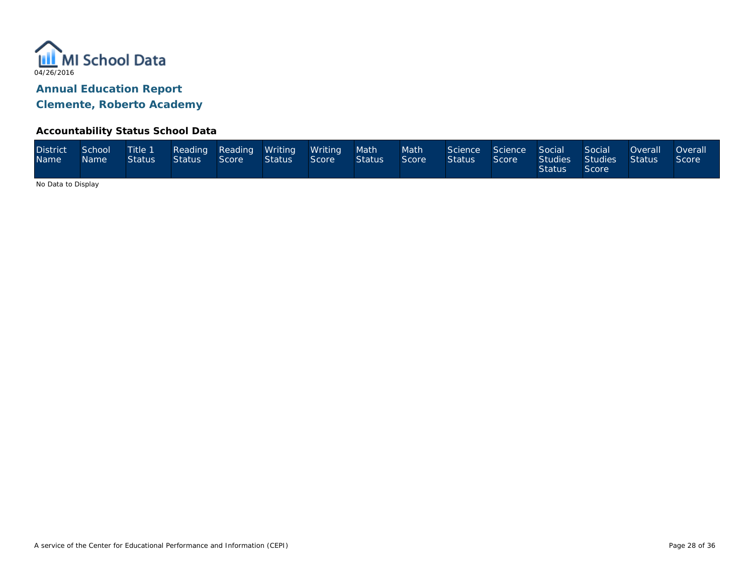

#### **Accountability Status School Data**

| <b>District</b><br>Name <sup>1</sup> | School<br>Name | Status | Status Score |  | Title 1 Reading Reading Writing Writing<br><b>Status</b> | Score | Math<br><b>Status</b> | Math <sup>1</sup><br>Score | Science Science Social<br><b>Status</b> | Score | <b>Status</b> | Social<br>Studies Studies Status<br>Score | Overall | <b>Overall</b><br>Score |
|--------------------------------------|----------------|--------|--------------|--|----------------------------------------------------------|-------|-----------------------|----------------------------|-----------------------------------------|-------|---------------|-------------------------------------------|---------|-------------------------|
|--------------------------------------|----------------|--------|--------------|--|----------------------------------------------------------|-------|-----------------------|----------------------------|-----------------------------------------|-------|---------------|-------------------------------------------|---------|-------------------------|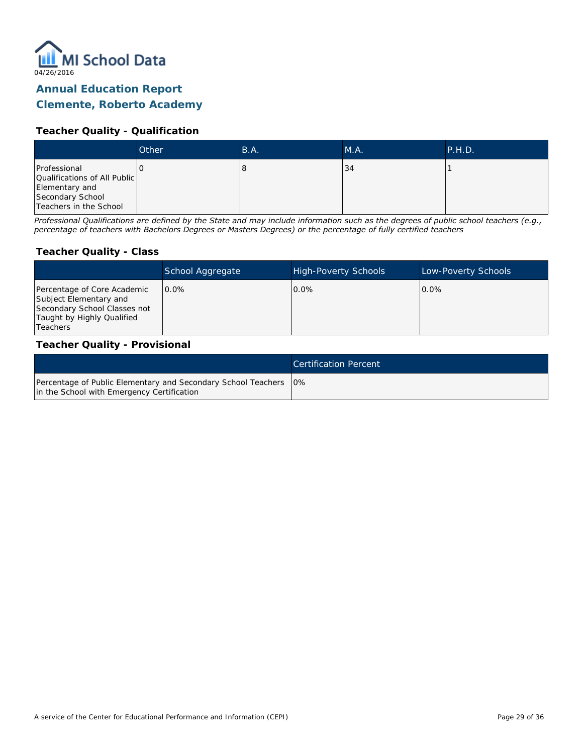

### **Clemente, Roberto Academy**

#### **Teacher Quality - Qualification**

|                                                                                                              | Other | B.A. | M.A. | P.H.D. |
|--------------------------------------------------------------------------------------------------------------|-------|------|------|--------|
| Professional<br>Qualifications of All Public<br>Elementary and<br>Secondary School<br>Teachers in the School |       | с    | 34   |        |

*Professional Qualifications are defined by the State and may include information such as the degrees of public school teachers (e.g., percentage of teachers with Bachelors Degrees or Masters Degrees) or the percentage of fully certified teachers*

#### **Teacher Quality - Class**

|                                                                                                                                   | School Aggregate | <b>High-Poverty Schools</b> | Low-Poverty Schools |
|-----------------------------------------------------------------------------------------------------------------------------------|------------------|-----------------------------|---------------------|
| Percentage of Core Academic<br>Subject Elementary and<br>Secondary School Classes not<br>Taught by Highly Qualified<br>l Teachers | $0.0\%$          | $0.0\%$                     | $0.0\%$             |

#### **Teacher Quality - Provisional**

|                                                                                                                  | Certification Percent |
|------------------------------------------------------------------------------------------------------------------|-----------------------|
| Percentage of Public Elementary and Secondary School Teachers   0%<br>in the School with Emergency Certification |                       |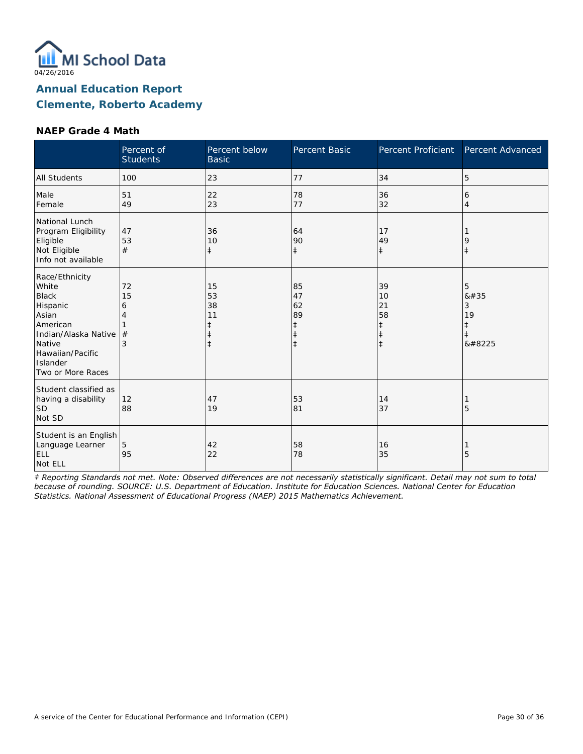

#### **NAEP Grade 4 Math**

|                                                                                                                                                                 | Percent of<br><b>Students</b> | Percent below<br><b>Basic</b> | <b>Percent Basic</b>                                           | Percent Proficient                                             | Percent Advanced                        |
|-----------------------------------------------------------------------------------------------------------------------------------------------------------------|-------------------------------|-------------------------------|----------------------------------------------------------------|----------------------------------------------------------------|-----------------------------------------|
| <b>All Students</b>                                                                                                                                             | 100                           | 23                            | 77                                                             | 34                                                             | 5                                       |
| Male<br>Female                                                                                                                                                  | 51<br>49                      | 22<br>23                      | 78<br>77                                                       | 36<br>32                                                       | 6<br>$\overline{4}$                     |
| National Lunch<br>Program Eligibility<br>Eligible<br>Not Eligible<br>Info not available                                                                         | 47<br>53<br>#                 | 36<br>10<br>$\ddagger$        | 64<br>90<br>$\ddagger$                                         | 17<br>49<br>$\ddagger$                                         | 9<br>$\ddagger$                         |
| Race/Ethnicity<br>White<br><b>Black</b><br>Hispanic<br>Asian<br>American<br>Indian/Alaska Native<br>Native<br>Hawaiian/Pacific<br>Islander<br>Two or More Races | 72<br>15<br>6<br>#<br>3       | 15<br>53<br>38<br>11<br>ŧ     | 85<br>47<br>62<br>89<br>$\ddagger$<br>$\ddagger$<br>$\ddagger$ | 39<br>10<br>21<br>58<br>$\ddagger$<br>$\ddagger$<br>$\ddagger$ | 5<br>8#35<br>3<br>19<br>$\ddagger$<br>‡ |
| Student classified as<br>having a disability<br>SD<br>Not SD                                                                                                    | 12<br>88                      | 47<br>19                      | 53<br>81                                                       | 14<br>37                                                       | 5                                       |
| Student is an English<br>Language Learner<br><b>ELL</b><br>Not ELL                                                                                              | 5<br>95                       | 42<br>22                      | 58<br>78                                                       | 16<br>35                                                       | 5                                       |

*‡ Reporting Standards not met. Note: Observed differences are not necessarily statistically significant. Detail may not sum to total because of rounding. SOURCE: U.S. Department of Education. Institute for Education Sciences. National Center for Education Statistics. National Assessment of Educational Progress (NAEP) 2015 Mathematics Achievement.*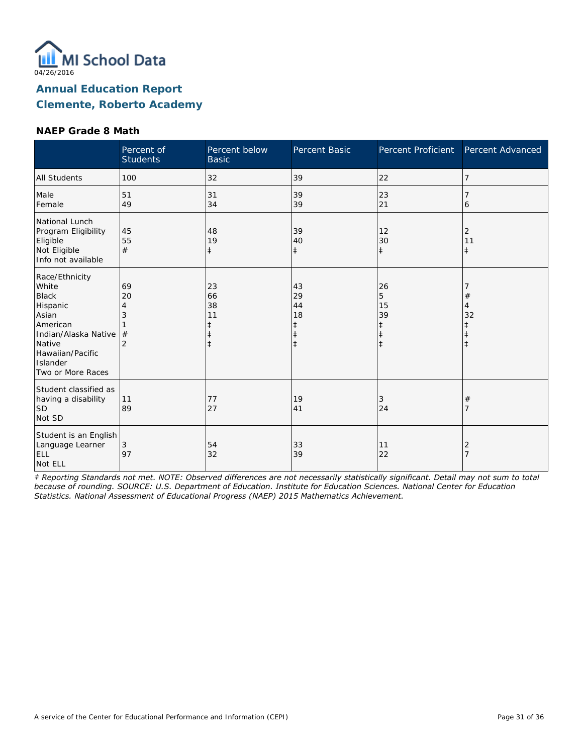

#### **NAEP Grade 8 Math**

|                                                                                                                                                                 | Percent of<br><b>Students</b> | Percent below<br><b>Basic</b>                         | Percent Basic                                | Percent Proficient                                            | Percent Advanced      |
|-----------------------------------------------------------------------------------------------------------------------------------------------------------------|-------------------------------|-------------------------------------------------------|----------------------------------------------|---------------------------------------------------------------|-----------------------|
| <b>All Students</b>                                                                                                                                             | 100                           | 32                                                    | 39                                           | 22                                                            | 7                     |
| Male<br>Female                                                                                                                                                  | 51<br>49                      | 31<br>34                                              | 39<br>39                                     | 23<br>21                                                      | 6                     |
| National Lunch<br>Program Eligibility<br>Eligible<br>Not Eligible<br>Info not available                                                                         | 45<br>55<br>#                 | 48<br>19<br>$\ddagger$                                | 39<br>40<br>$\ddagger$                       | 12<br>30<br>$\ddagger$                                        | 2<br>11<br>$\ddagger$ |
| Race/Ethnicity<br>White<br><b>Black</b><br>Hispanic<br>Asian<br>American<br>Indian/Alaska Native<br>Native<br>Hawaiian/Pacific<br>Islander<br>Two or More Races | 69<br>20<br>#                 | 23<br>66<br>38<br>11<br>$\ddagger$<br>ŧ<br>$\ddagger$ | 43<br>29<br>44<br>18<br>ŧ<br>ŧ<br>$\ddagger$ | 26<br>5<br>15<br>39<br>$\ddagger$<br>$\ddagger$<br>$\ddagger$ | $^{\#}$<br>4<br>32    |
| Student classified as<br>having a disability<br>SD<br>Not SD                                                                                                    | 11<br>89                      | 77<br>27                                              | 19<br>41                                     | 3<br>24                                                       | $\#$                  |
| Student is an English<br>Language Learner<br><b>ELL</b><br>Not ELL                                                                                              | 3<br>97                       | 54<br>32                                              | 33<br>39                                     | 11<br>22                                                      | 2                     |

*‡ Reporting Standards not met. NOTE: Observed differences are not necessarily statistically significant. Detail may not sum to total because of rounding. SOURCE: U.S. Department of Education. Institute for Education Sciences. National Center for Education Statistics. National Assessment of Educational Progress (NAEP) 2015 Mathematics Achievement.*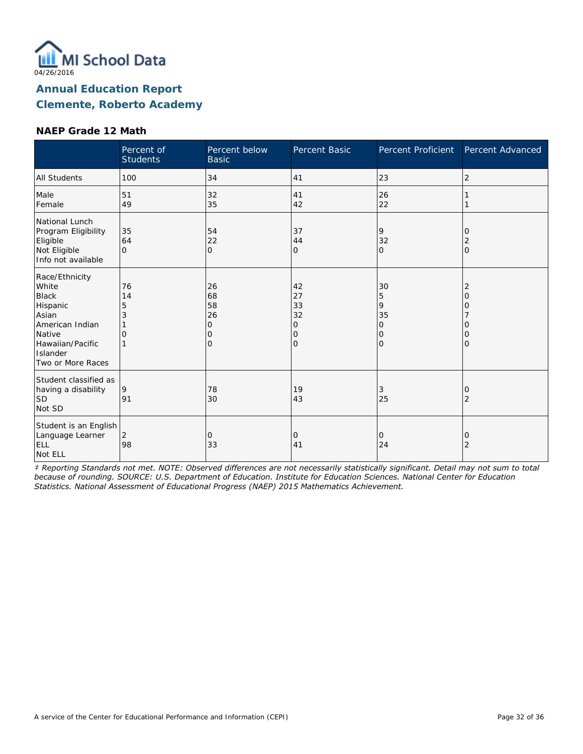

#### **NAEP Grade 12 Math**

|                                                                                                                                                | Percent of<br><b>Students</b>  | Percent below<br><b>Basic</b>       | Percent Basic                             | Percent Proficient                                       | Percent Advanced                    |
|------------------------------------------------------------------------------------------------------------------------------------------------|--------------------------------|-------------------------------------|-------------------------------------------|----------------------------------------------------------|-------------------------------------|
| <b>All Students</b>                                                                                                                            | 100                            | 34                                  | 41                                        | 23                                                       | 2                                   |
| Male<br>Female                                                                                                                                 | 51<br>49                       | 32<br>35                            | 41<br>42                                  | 26<br>22                                                 |                                     |
| National Lunch<br>Program Eligibility<br>Eligible<br>Not Eligible<br>Info not available                                                        | 35<br>64<br>$\Omega$           | 54<br>22<br>$\mathbf{O}$            | 37<br>44<br>0                             | 9<br>32<br>$\mathbf{O}$                                  | 0<br>2<br>l0                        |
| Race/Ethnicity<br>White<br><b>Black</b><br>Hispanic<br>Asian<br>American Indian<br>Native<br>Hawaiian/Pacific<br>Islander<br>Two or More Races | 76<br>14<br>5<br>3<br>$\Omega$ | 26<br>68<br>58<br>26<br>0<br>0<br>O | 42<br>27<br>33<br>32<br>0<br>0<br>$\circ$ | 30<br>5<br>9<br>35<br>$\mathcal{O}$<br>0<br>$\mathbf{O}$ | 2<br>$\Omega$<br>Ω<br>Ω<br>$\Omega$ |
| Student classified as<br>having a disability<br><b>SD</b><br>Not SD                                                                            | 9<br>91                        | 78<br>30                            | 19<br>43                                  | 3<br>25                                                  | 0<br>$\overline{2}$                 |
| Student is an English<br>Language Learner<br>ELL<br>Not ELL                                                                                    | $\overline{2}$<br>98           | 0<br>33                             | 0<br>41                                   | 0<br>24                                                  | 0<br>$\overline{2}$                 |

*‡ Reporting Standards not met. NOTE: Observed differences are not necessarily statistically significant. Detail may not sum to total because of rounding. SOURCE: U.S. Department of Education. Institute for Education Sciences. National Center for Education Statistics. National Assessment of Educational Progress (NAEP) 2015 Mathematics Achievement.*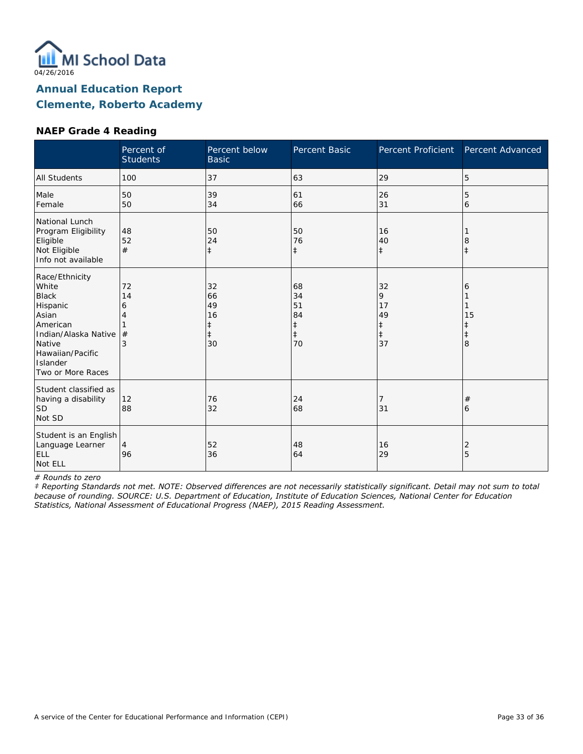

#### **NAEP Grade 4 Reading**

|                                                                                                                                                                 | Percent of<br><b>Students</b> | Percent below<br><b>Basic</b>                 | Percent Basic                                          | Percent Proficient                                    | Percent Advanced                         |
|-----------------------------------------------------------------------------------------------------------------------------------------------------------------|-------------------------------|-----------------------------------------------|--------------------------------------------------------|-------------------------------------------------------|------------------------------------------|
| <b>All Students</b>                                                                                                                                             | 100                           | 37                                            | 63                                                     | 29                                                    | 5                                        |
| Male<br>Female                                                                                                                                                  | 50<br>50                      | 39<br>34                                      | 61<br>66                                               | 26<br>31                                              | 5<br>6                                   |
| National Lunch<br>Program Eligibility<br>Eligible<br>Not Eligible<br>Info not available                                                                         | 48<br>52<br>#                 | 50<br>24<br>$\ddagger$                        | 50<br>76<br>$\ddagger$                                 | 16<br>40<br>$\ddagger$                                | 8<br>ŧ                                   |
| Race/Ethnicity<br>White<br><b>Black</b><br>Hispanic<br>Asian<br>American<br>Indian/Alaska Native<br>Native<br>Hawaiian/Pacific<br>Islander<br>Two or More Races | 72<br>14<br>6<br>Δ<br>#<br>3  | 32<br>66<br>49<br>16<br>ŧ<br>$\ddagger$<br>30 | 68<br>34<br>51<br>84<br>$\ddagger$<br>$\ddagger$<br>70 | 32<br>9<br>17<br>49<br>$\ddagger$<br>$\ddagger$<br>37 | 6<br>15<br>$\ddagger$<br>$\ddagger$<br>8 |
| Student classified as<br>having a disability<br>lsd<br>Not SD                                                                                                   | 12<br>88                      | 76<br>32                                      | 24<br>68                                               | 31                                                    | $^{\#}$<br>6                             |
| Student is an English<br>Language Learner<br>ELL<br>Not ELL                                                                                                     | $\overline{4}$<br>96          | 52<br>36                                      | 48<br>64                                               | 16<br>29                                              | 2<br>5                                   |

*# Rounds to zero*

*‡ Reporting Standards not met. NOTE: Observed differences are not necessarily statistically significant. Detail may not sum to total because of rounding. SOURCE: U.S. Department of Education, Institute of Education Sciences, National Center for Education Statistics, National Assessment of Educational Progress (NAEP), 2015 Reading Assessment.*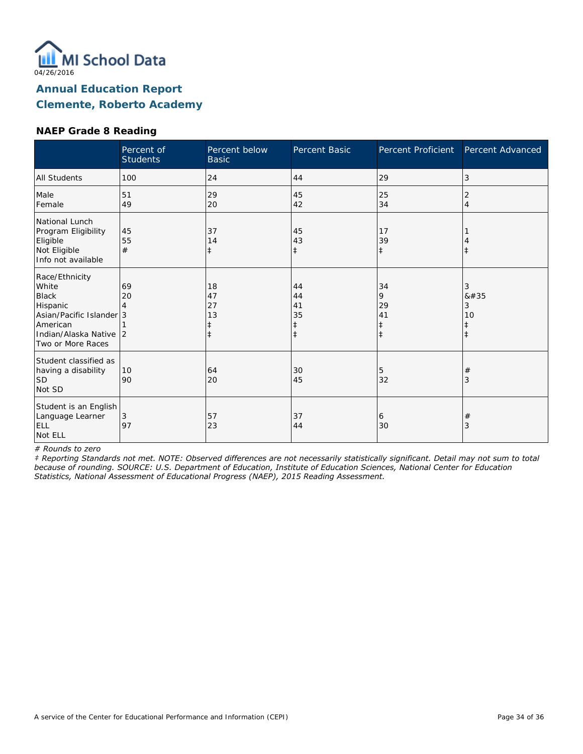

## **NAEP Grade 8 Reading**

|                                                                                                                                            | Percent of<br><b>Students</b> | Percent below<br><b>Basic</b>    | Percent Basic                      | Percent Proficient                              | Percent Advanced                        |
|--------------------------------------------------------------------------------------------------------------------------------------------|-------------------------------|----------------------------------|------------------------------------|-------------------------------------------------|-----------------------------------------|
| <b>All Students</b>                                                                                                                        | 100                           | 24                               | 44                                 | 29                                              | 3                                       |
| Male<br>Female                                                                                                                             | 51<br>49                      | 29<br>20                         | 45<br>42                           | 25<br>34                                        | 2<br>$\overline{4}$                     |
| National Lunch<br>Program Eligibility<br>Eligible<br>Not Eligible<br>Info not available                                                    | 45<br>55<br>#                 | 37<br>14<br>$\ddagger$           | 45<br>43<br>$\ddagger$             | 17<br>39<br>$\ddagger$                          | $\ddagger$                              |
| Race/Ethnicity<br>White<br><b>Black</b><br>Hispanic<br>Asian/Pacific Islander 3<br>American<br>Indian/Alaska Native 2<br>Two or More Races | 69<br>20                      | 18<br>47<br>27<br>13<br>$^\ddag$ | 44<br>44<br>41<br>35<br>$\ddagger$ | 34<br>9<br>29<br>41<br>$\ddagger$<br>$\ddagger$ | 3<br>8#35<br>3<br>10<br>ŧ<br>$\ddagger$ |
| Student classified as<br>having a disability<br><b>SD</b><br>Not SD                                                                        | 10<br>90                      | 64<br>20                         | 30<br>45                           | 5<br>32                                         | $\#$<br>3                               |
| Student is an English<br>Language Learner<br><b>ELL</b><br>Not ELL                                                                         | 3<br>97                       | 57<br>23                         | 37<br>44                           | 6<br>30                                         | $\#$<br>3                               |

*# Rounds to zero*

*‡ Reporting Standards not met. NOTE: Observed differences are not necessarily statistically significant. Detail may not sum to total because of rounding. SOURCE: U.S. Department of Education, Institute of Education Sciences, National Center for Education Statistics, National Assessment of Educational Progress (NAEP), 2015 Reading Assessment.*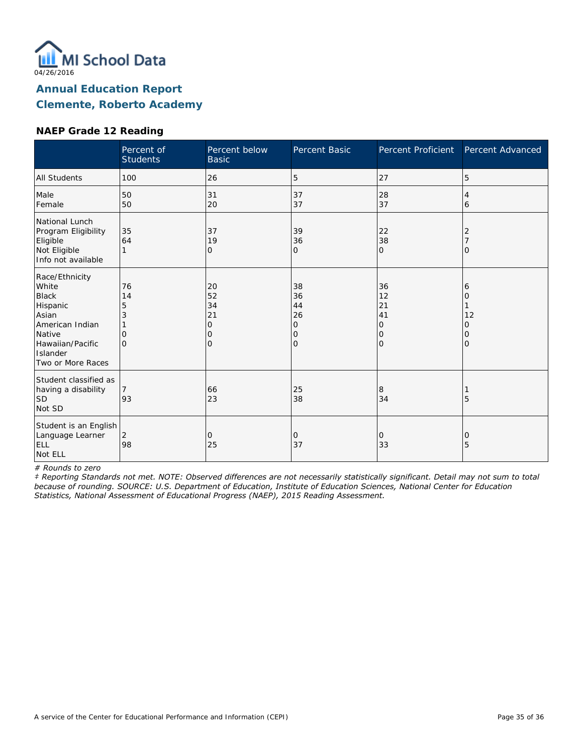

#### **NAEP Grade 12 Reading**

|                                                                                                                                                | Percent of<br><b>Students</b>                   | Percent below<br><b>Basic</b>                          | Percent Basic                             | Percent Proficient                         | Percent Advanced                   |
|------------------------------------------------------------------------------------------------------------------------------------------------|-------------------------------------------------|--------------------------------------------------------|-------------------------------------------|--------------------------------------------|------------------------------------|
| <b>All Students</b>                                                                                                                            | 100                                             | 26                                                     | 5                                         | 27                                         | 5                                  |
| Male<br>Female                                                                                                                                 | 50<br>50                                        | 31<br>20                                               | 37<br>37                                  | 28<br>37                                   | 4<br>6                             |
| National Lunch<br>Program Eligibility<br>Eligible<br>Not Eligible<br>Info not available                                                        | 35<br>64                                        | 37<br>19<br>$\mathcal{O}$                              | 39<br>36<br>0                             | 22<br>38<br>$\mathbf{O}$                   | 2<br>$\Omega$                      |
| Race/Ethnicity<br>White<br><b>Black</b><br>Hispanic<br>Asian<br>American Indian<br>Native<br>Hawaiian/Pacific<br>Islander<br>Two or More Races | 76<br>14<br>5<br>3<br>$\mathcal{O}$<br>$\Omega$ | 20<br>52<br>34<br>21<br>$\mathcal{O}$<br>0<br>$\Omega$ | 38<br>36<br>44<br>26<br>0<br>0<br>$\circ$ | 36<br>12<br>21<br>41<br>0<br>0<br>$\Omega$ | 6<br>Ω<br>12<br>0<br>0<br>$\Omega$ |
| Student classified as<br>having a disability<br><b>SD</b><br>Not SD                                                                            | 93                                              | 66<br>23                                               | 25<br>38                                  | 8<br>34                                    | 5                                  |
| Student is an English<br>Language Learner<br>ELL<br>Not ELL                                                                                    | 2<br>98                                         | 0<br>25                                                | 0<br>37                                   | 0<br>33                                    | 0<br>5                             |

*# Rounds to zero*

*‡ Reporting Standards not met. NOTE: Observed differences are not necessarily statistically significant. Detail may not sum to total because of rounding. SOURCE: U.S. Department of Education, Institute of Education Sciences, National Center for Education Statistics, National Assessment of Educational Progress (NAEP), 2015 Reading Assessment.*